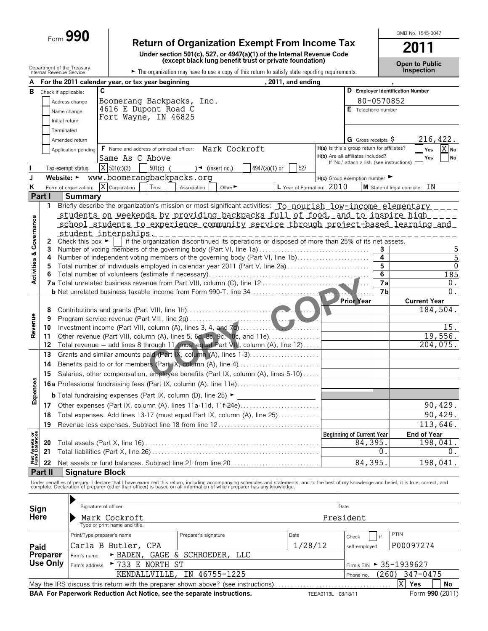# Form **990 Return of Organization Exempt From Income Tax**

**Under section 501(c), 527, or 4947(a)(1) of the Internal Revenue Code (except black lung benefit trust or private foundation)**

**Open to Public**

OMB No. 1545-0047

**2011**

|                                | Internal Revenue Service | Department of the Treasury                                                                                                                                                                                                        |   |                               | The organization may have to use a copy of this return to satisfy state reporting requirements. |  |                      |                             |            |               |  |                           |                                             |                                  |               |                                            |      | <b>Inspection</b>                |                         |
|--------------------------------|--------------------------|-----------------------------------------------------------------------------------------------------------------------------------------------------------------------------------------------------------------------------------|---|-------------------------------|-------------------------------------------------------------------------------------------------|--|----------------------|-----------------------------|------------|---------------|--|---------------------------|---------------------------------------------|----------------------------------|---------------|--------------------------------------------|------|----------------------------------|-------------------------|
|                                |                          | For the 2011 calendar year, or tax year beginning                                                                                                                                                                                 |   |                               |                                                                                                 |  |                      |                             |            |               |  | , 2011, and ending        |                                             |                                  |               |                                            |      |                                  |                         |
| В                              | Check if applicable:     |                                                                                                                                                                                                                                   | C |                               |                                                                                                 |  |                      |                             |            |               |  |                           |                                             |                                  |               |                                            |      | D Employer Identification Number |                         |
|                                |                          | Address change                                                                                                                                                                                                                    |   |                               | Boomerang Backpacks, Inc.                                                                       |  |                      |                             |            |               |  |                           |                                             |                                  |               | 80-0570852                                 |      |                                  |                         |
|                                |                          | Name change                                                                                                                                                                                                                       |   |                               | 4616 E Dupont Road C                                                                            |  |                      |                             |            |               |  |                           |                                             |                                  |               | E Telephone number                         |      |                                  |                         |
|                                |                          | Initial return                                                                                                                                                                                                                    |   |                               | Fort Wayne, IN 46825                                                                            |  |                      |                             |            |               |  |                           |                                             |                                  |               |                                            |      |                                  |                         |
|                                |                          | Terminated                                                                                                                                                                                                                        |   |                               |                                                                                                 |  |                      |                             |            |               |  |                           |                                             |                                  |               |                                            |      |                                  |                         |
|                                |                          | Amended return                                                                                                                                                                                                                    |   |                               |                                                                                                 |  |                      |                             |            |               |  |                           |                                             |                                  |               | G Gross receipts $\varsigma$               |      |                                  | 216,422.                |
|                                |                          | Application pending                                                                                                                                                                                                               |   |                               | F Name and address of principal officer: Mark Cockroft                                          |  |                      |                             |            |               |  |                           | H(a) Is this a group return for affiliates? |                                  |               |                                            |      | Yes                              | X No                    |
|                                |                          |                                                                                                                                                                                                                                   |   |                               | Same As C Above                                                                                 |  |                      |                             |            |               |  |                           | H(b) Are all affiliates included?           |                                  |               |                                            |      | Yes                              | No                      |
|                                |                          | Tax-exempt status                                                                                                                                                                                                                 |   | $X$ 501(c)(3)                 | $501(c)$ (                                                                                      |  |                      | $\rightarrow$ (insert no.)  |            | 4947(a)(1) or |  | 527                       |                                             |                                  |               | If 'No,' attach a list. (see instructions) |      |                                  |                         |
| J                              |                          | Website: • www.boomerangbackpacks.org                                                                                                                                                                                             |   |                               |                                                                                                 |  |                      |                             |            |               |  |                           | $H(c)$ Group exemption number               |                                  |               |                                            |      |                                  |                         |
|                                |                          | Form of organization: $X$ Corporation                                                                                                                                                                                             |   |                               | Trust                                                                                           |  |                      |                             |            |               |  | L Year of Formation: 2010 |                                             |                                  |               |                                            |      | M State of legal domicile: IN    |                         |
| Κ                              | Part I                   | <b>Summary</b>                                                                                                                                                                                                                    |   |                               |                                                                                                 |  | Association          | Other $\blacktriangleright$ |            |               |  |                           |                                             |                                  |               |                                            |      |                                  |                         |
|                                | 1                        | Briefly describe the organization's mission or most significant activities: To nourish low-income elementary ____                                                                                                                 |   |                               |                                                                                                 |  |                      |                             |            |               |  |                           |                                             |                                  |               |                                            |      |                                  |                         |
|                                |                          |                                                                                                                                                                                                                                   |   |                               |                                                                                                 |  |                      |                             |            |               |  |                           |                                             |                                  |               |                                            |      |                                  |                         |
|                                |                          | <u>students on weekends by providing backpacks full of food, and to inspire high </u>                                                                                                                                             |   |                               |                                                                                                 |  |                      |                             |            |               |  |                           |                                             |                                  |               |                                            |      |                                  |                         |
|                                |                          | school students to experience community service through project-based learning and<br>_student_internships___________________________                                                                                             |   |                               |                                                                                                 |  |                      |                             |            |               |  |                           |                                             |                                  |               |                                            |      |                                  |                         |
|                                | $\mathbf{2}$             | Check this box $\blacktriangleright$ if the organization discontinued its operations or disposed of more than 25% of its net assets.                                                                                              |   |                               |                                                                                                 |  |                      |                             |            |               |  |                           |                                             |                                  |               |                                            |      |                                  |                         |
|                                | 3                        | Number of voting members of the governing body (Part VI, line 1a)                                                                                                                                                                 |   |                               |                                                                                                 |  |                      |                             |            |               |  |                           |                                             |                                  |               | 3                                          |      |                                  | 5                       |
|                                | 4                        | Number of independent voting members of the governing body (Part VI, line 1b)                                                                                                                                                     |   |                               |                                                                                                 |  |                      |                             |            |               |  |                           |                                             |                                  |               | 4                                          |      |                                  | 5                       |
| Activities & Governance        | 5                        | Total number of individuals employed in calendar year 2011 (Part V, line 2a)                                                                                                                                                      |   |                               |                                                                                                 |  |                      |                             |            |               |  |                           |                                             |                                  |               | 5                                          |      |                                  | $\mathbf 0$             |
|                                | 6                        |                                                                                                                                                                                                                                   |   |                               |                                                                                                 |  |                      |                             |            |               |  |                           |                                             |                                  |               | 6                                          |      |                                  | 185                     |
|                                |                          |                                                                                                                                                                                                                                   |   |                               |                                                                                                 |  |                      |                             |            |               |  |                           |                                             |                                  |               | 7а                                         |      |                                  | 0.                      |
|                                |                          |                                                                                                                                                                                                                                   |   |                               |                                                                                                 |  |                      |                             |            |               |  |                           |                                             |                                  |               | 7 <sub>b</sub>                             |      |                                  | $\overline{0}$ .        |
|                                |                          |                                                                                                                                                                                                                                   |   |                               |                                                                                                 |  |                      |                             |            |               |  |                           |                                             | <b>Prior Year</b>                |               |                                            |      | <b>Current Year</b>              |                         |
|                                | 8                        |                                                                                                                                                                                                                                   |   |                               |                                                                                                 |  |                      |                             |            |               |  |                           |                                             |                                  |               |                                            |      |                                  | $\overline{184}$ , 504. |
|                                | 9                        |                                                                                                                                                                                                                                   |   |                               |                                                                                                 |  |                      |                             |            |               |  |                           |                                             |                                  |               |                                            |      |                                  |                         |
| Revenue                        | 10                       |                                                                                                                                                                                                                                   |   |                               |                                                                                                 |  |                      |                             |            |               |  |                           |                                             |                                  |               |                                            |      |                                  | 15.<br>19,556.          |
|                                | 11<br>12                 | Other revenue (Part VIII, column (A), lines 5, 6d, 8c, 9c, 10c, and 11e)<br>Total revenue - add lines 8 through 11 (must equal Part VIII, column (A), line 12)                                                                    |   |                               |                                                                                                 |  |                      |                             |            |               |  |                           |                                             |                                  |               |                                            |      |                                  | 204,075.                |
|                                | 13                       | Grants and similar amounts paid (Part IX, column (A), lines 1-3)                                                                                                                                                                  |   |                               |                                                                                                 |  |                      |                             |            |               |  |                           |                                             |                                  |               |                                            |      |                                  |                         |
|                                | 14                       |                                                                                                                                                                                                                                   |   |                               |                                                                                                 |  |                      |                             |            |               |  |                           |                                             |                                  |               |                                            |      |                                  |                         |
|                                | 15                       |                                                                                                                                                                                                                                   |   |                               |                                                                                                 |  |                      |                             |            |               |  |                           |                                             |                                  |               |                                            |      |                                  |                         |
|                                |                          | Salaries, other compensation, employee benefits (Part IX, column (A), lines 5-10)                                                                                                                                                 |   |                               |                                                                                                 |  |                      |                             |            |               |  |                           |                                             |                                  |               |                                            |      |                                  |                         |
| Expenses                       |                          |                                                                                                                                                                                                                                   |   |                               |                                                                                                 |  |                      |                             |            |               |  |                           |                                             |                                  |               |                                            |      |                                  |                         |
|                                |                          |                                                                                                                                                                                                                                   |   |                               |                                                                                                 |  |                      |                             |            |               |  |                           |                                             |                                  |               |                                            |      |                                  |                         |
|                                |                          |                                                                                                                                                                                                                                   |   |                               |                                                                                                 |  |                      |                             |            |               |  |                           |                                             |                                  |               |                                            |      |                                  | 90,429.                 |
|                                |                          | 18 Total expenses. Add lines 13-17 (must equal Part IX, column (A), line 25)                                                                                                                                                      |   |                               |                                                                                                 |  |                      |                             |            |               |  |                           |                                             |                                  |               |                                            |      |                                  | 90,429.                 |
|                                |                          |                                                                                                                                                                                                                                   |   |                               |                                                                                                 |  |                      |                             |            |               |  |                           |                                             |                                  |               |                                            |      |                                  | 113,646.                |
| Net Assets or<br>Fund Balances |                          |                                                                                                                                                                                                                                   |   |                               |                                                                                                 |  |                      |                             |            |               |  |                           |                                             | <b>Beginning of Current Year</b> |               |                                            |      | <b>End of Year</b>               |                         |
|                                | 20                       |                                                                                                                                                                                                                                   |   |                               |                                                                                                 |  |                      |                             |            |               |  |                           |                                             |                                  | 84,395.       |                                            |      |                                  | 198,041.                |
|                                | 21                       |                                                                                                                                                                                                                                   |   |                               |                                                                                                 |  |                      |                             |            |               |  |                           |                                             |                                  |               | 0                                          |      |                                  | 0.                      |
|                                | 22                       | Net assets or fund balances. Subtract line 21 from line 20                                                                                                                                                                        |   |                               |                                                                                                 |  |                      |                             |            |               |  |                           |                                             |                                  | 84,395        |                                            |      |                                  | 198,041.                |
|                                | <b>Part II</b>           | <b>Signature Block</b>                                                                                                                                                                                                            |   |                               |                                                                                                 |  |                      |                             |            |               |  |                           |                                             |                                  |               |                                            |      |                                  |                         |
|                                |                          | Under penalties of perjury, I declare that I have examined this return, including accompanying schedules and statements, and to the best of my knowledge and belief, it is true, correct, and<br>complete. Declaration of prepare |   |                               |                                                                                                 |  |                      |                             |            |               |  |                           |                                             |                                  |               |                                            |      |                                  |                         |
|                                |                          |                                                                                                                                                                                                                                   |   |                               |                                                                                                 |  |                      |                             |            |               |  |                           |                                             |                                  |               |                                            |      |                                  |                         |
|                                |                          | Signature of officer                                                                                                                                                                                                              |   |                               |                                                                                                 |  |                      |                             |            |               |  |                           |                                             |                                  |               |                                            |      |                                  |                         |
| Sign                           |                          |                                                                                                                                                                                                                                   |   |                               |                                                                                                 |  |                      |                             |            |               |  |                           |                                             | Date                             |               |                                            |      |                                  |                         |
| <b>Here</b>                    |                          |                                                                                                                                                                                                                                   |   | Mark Cockroft                 |                                                                                                 |  |                      |                             |            |               |  |                           |                                             | President                        |               |                                            |      |                                  |                         |
|                                |                          |                                                                                                                                                                                                                                   |   | Type or print name and title. |                                                                                                 |  |                      |                             |            |               |  |                           |                                             |                                  |               |                                            |      |                                  |                         |
|                                |                          | Print/Type preparer's name                                                                                                                                                                                                        |   |                               |                                                                                                 |  | Preparer's signature |                             |            |               |  | Date                      |                                             | Check                            |               | if                                         | PTIN |                                  |                         |
| Paid                           |                          | Carla B Butler,                                                                                                                                                                                                                   |   |                               | CPA                                                                                             |  |                      |                             |            |               |  | 1/28/12                   |                                             |                                  | self-employed |                                            |      | P00097274                        |                         |
|                                | Preparer                 | Firm's name                                                                                                                                                                                                                       |   | $\triangleright$ BADEN.       | GAGE                                                                                            |  |                      | & SCHROEDER,                | <b>TTC</b> |               |  |                           |                                             |                                  |               |                                            |      |                                  |                         |
|                                | <b>Use Only</b>          | Firm's address                                                                                                                                                                                                                    |   |                               | ► 733 E NORTH ST                                                                                |  |                      |                             |            |               |  |                           |                                             |                                  |               | Firm's EIN ► 35-1939627                    |      |                                  |                         |
|                                |                          |                                                                                                                                                                                                                                   |   |                               | KENDALLVILLE.                                                                                   |  |                      | IN 46755-1225               |            |               |  |                           |                                             | Phone no.                        |               | (260)                                      |      | 347-0475                         |                         |
|                                |                          | May the IRS discuss this return with the preparer shown above? (see instructions)                                                                                                                                                 |   |                               |                                                                                                 |  |                      |                             |            |               |  |                           |                                             |                                  |               |                                            | Χ    | Yes                              | No                      |

**BAA For Paperwork Reduction Act Notice, see the separate instructions.** TEEA0113L 08/18/11 Form 990 (2011)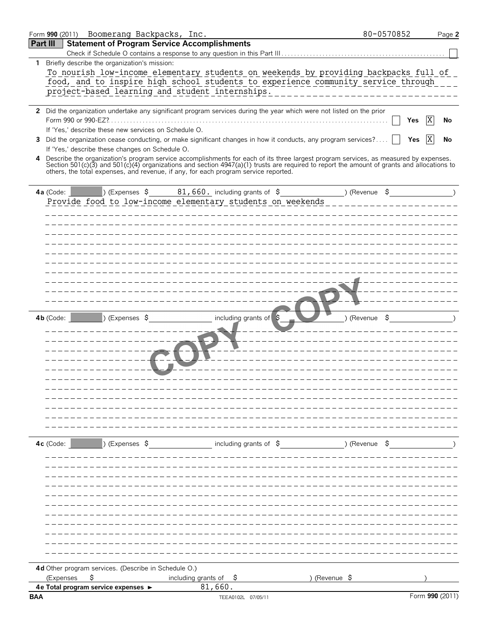|            |             | Form 990 (2011) Boomerang Backpacks, Inc.            |                                                                                                                                                                                                                                                                                    |               | 80-0570852               |                 | Page 2 |
|------------|-------------|------------------------------------------------------|------------------------------------------------------------------------------------------------------------------------------------------------------------------------------------------------------------------------------------------------------------------------------------|---------------|--------------------------|-----------------|--------|
| Part III   |             | <b>Statement of Program Service Accomplishments</b>  |                                                                                                                                                                                                                                                                                    |               |                          |                 |        |
|            |             |                                                      |                                                                                                                                                                                                                                                                                    |               |                          |                 |        |
|            |             | 1 Briefly describe the organization's mission:       |                                                                                                                                                                                                                                                                                    |               |                          |                 |        |
|            |             |                                                      | To nourish low-income elementary students on weekends_by_providing_backpacks_full_of                                                                                                                                                                                               |               |                          |                 |        |
|            |             |                                                      | food, and to inspire high school students to experience community service through                                                                                                                                                                                                  |               |                          |                 |        |
|            |             |                                                      | project-based learning and student internships.                                                                                                                                                                                                                                    |               |                          |                 |        |
|            |             |                                                      |                                                                                                                                                                                                                                                                                    |               |                          |                 |        |
|            |             |                                                      | 2 Did the organization undertake any significant program services during the year which were not listed on the prior                                                                                                                                                               |               |                          |                 |        |
|            |             |                                                      |                                                                                                                                                                                                                                                                                    |               |                          | ΙX<br>Yes       | No     |
|            |             | If 'Yes,' describe these new services on Schedule O. |                                                                                                                                                                                                                                                                                    |               |                          |                 |        |
| 3.         |             |                                                      | Did the organization cease conducting, or make significant changes in how it conducts, any program services?                                                                                                                                                                       |               |                          | IX<br>Yes       | No     |
|            |             | If 'Yes,' describe these changes on Schedule O.      |                                                                                                                                                                                                                                                                                    |               |                          |                 |        |
| 4          |             |                                                      | Describe the organization's program service accomplishments for each of its three largest program services, as measured by expenses.<br>Section 501(c)(3) and 501(c)(4) organizations and section 4947(a)(1) trusts are required to report the amount of grants and allocations to |               |                          |                 |        |
|            |             |                                                      | others, the total expenses, and revenue, if any, for each program service reported.                                                                                                                                                                                                |               |                          |                 |        |
|            |             |                                                      |                                                                                                                                                                                                                                                                                    |               |                          |                 |        |
|            | 4a (Code:   |                                                      | $(1, 5)$ Expenses \$ 81,660. including grants of \$ (Revenue \$)                                                                                                                                                                                                                   |               |                          |                 |        |
|            |             |                                                      | Provide food to low-income elementary students on weekends                                                                                                                                                                                                                         |               |                          |                 |        |
|            |             |                                                      |                                                                                                                                                                                                                                                                                    |               |                          |                 |        |
|            |             |                                                      |                                                                                                                                                                                                                                                                                    |               |                          |                 |        |
|            |             |                                                      |                                                                                                                                                                                                                                                                                    |               |                          |                 |        |
|            |             |                                                      |                                                                                                                                                                                                                                                                                    |               |                          |                 |        |
|            |             |                                                      |                                                                                                                                                                                                                                                                                    |               |                          |                 |        |
|            |             |                                                      |                                                                                                                                                                                                                                                                                    |               |                          |                 |        |
|            |             |                                                      |                                                                                                                                                                                                                                                                                    |               |                          |                 |        |
|            |             |                                                      |                                                                                                                                                                                                                                                                                    |               |                          |                 |        |
|            |             |                                                      |                                                                                                                                                                                                                                                                                    |               |                          |                 |        |
|            |             |                                                      |                                                                                                                                                                                                                                                                                    |               |                          |                 |        |
|            |             |                                                      |                                                                                                                                                                                                                                                                                    |               |                          |                 |        |
|            | 4b (Code:   | ) (Expenses \$                                       | including grants of \$                                                                                                                                                                                                                                                             |               | ) (Revenue $\frac{1}{2}$ |                 |        |
|            |             |                                                      |                                                                                                                                                                                                                                                                                    |               |                          |                 |        |
|            |             |                                                      |                                                                                                                                                                                                                                                                                    |               |                          |                 |        |
|            |             |                                                      |                                                                                                                                                                                                                                                                                    |               |                          |                 |        |
|            |             |                                                      |                                                                                                                                                                                                                                                                                    |               |                          |                 |        |
|            |             |                                                      |                                                                                                                                                                                                                                                                                    |               |                          |                 |        |
|            |             |                                                      |                                                                                                                                                                                                                                                                                    |               |                          |                 |        |
|            |             |                                                      |                                                                                                                                                                                                                                                                                    |               |                          |                 |        |
|            |             |                                                      |                                                                                                                                                                                                                                                                                    |               |                          |                 |        |
|            |             |                                                      |                                                                                                                                                                                                                                                                                    |               |                          |                 |        |
|            |             |                                                      |                                                                                                                                                                                                                                                                                    |               |                          |                 |        |
|            |             |                                                      |                                                                                                                                                                                                                                                                                    |               |                          |                 |        |
|            |             |                                                      |                                                                                                                                                                                                                                                                                    |               |                          |                 |        |
|            |             |                                                      |                                                                                                                                                                                                                                                                                    |               |                          |                 |        |
|            | $4c$ (Code: | ) (Expenses \$                                       | including grants of \$                                                                                                                                                                                                                                                             |               | )(Revenue \$             |                 |        |
|            |             |                                                      |                                                                                                                                                                                                                                                                                    |               |                          |                 |        |
|            |             |                                                      |                                                                                                                                                                                                                                                                                    |               |                          |                 |        |
|            |             |                                                      |                                                                                                                                                                                                                                                                                    |               |                          |                 |        |
|            |             |                                                      |                                                                                                                                                                                                                                                                                    |               |                          |                 |        |
|            |             |                                                      |                                                                                                                                                                                                                                                                                    |               |                          |                 |        |
|            |             |                                                      |                                                                                                                                                                                                                                                                                    |               |                          |                 |        |
|            |             |                                                      |                                                                                                                                                                                                                                                                                    |               |                          |                 |        |
|            |             |                                                      |                                                                                                                                                                                                                                                                                    |               |                          |                 |        |
|            |             |                                                      |                                                                                                                                                                                                                                                                                    |               |                          |                 |        |
|            |             |                                                      |                                                                                                                                                                                                                                                                                    |               |                          |                 |        |
|            |             |                                                      |                                                                                                                                                                                                                                                                                    |               |                          |                 |        |
|            |             |                                                      |                                                                                                                                                                                                                                                                                    |               |                          |                 |        |
|            |             | 4d Other program services. (Describe in Schedule O.) |                                                                                                                                                                                                                                                                                    |               |                          |                 |        |
|            | (Expenses   | \$                                                   | including grants of $\frac{1}{2}$                                                                                                                                                                                                                                                  | ) (Revenue \$ |                          |                 |        |
|            |             | 4e Total program service expenses ▶                  | 81,660.                                                                                                                                                                                                                                                                            |               |                          |                 |        |
| <b>BAA</b> |             |                                                      | TEEA0102L 07/05/11                                                                                                                                                                                                                                                                 |               |                          | Form 990 (2011) |        |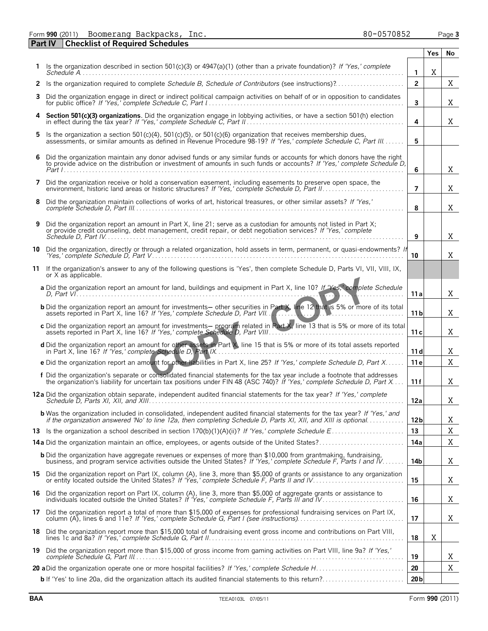Form **990** (2011) Page **3** Boomerang Backpacks, Inc. 80-0570852

|     | <b>Part IV</b> | <b>Checklist of Required Schedules</b>                                                                                                                                                                                                              |                 |     |    |
|-----|----------------|-----------------------------------------------------------------------------------------------------------------------------------------------------------------------------------------------------------------------------------------------------|-----------------|-----|----|
|     |                |                                                                                                                                                                                                                                                     |                 | Yes | No |
|     |                | 1 Is the organization described in section 501(c)(3) or $4947(a)(1)$ (other than a private foundation)? If 'Yes,' complete                                                                                                                          | $\mathbf{1}$    | X   |    |
|     |                | 2 Is the organization required to complete Schedule B, Schedule of Contributors (see instructions)?                                                                                                                                                 | $\overline{2}$  |     | Χ  |
| 3   |                | Did the organization engage in direct or indirect political campaign activities on behalf of or in opposition to candidates                                                                                                                         | 3               |     | X  |
|     |                | 4 Section 501(c)(3) organizations. Did the organization engage in lobbying activities, or have a section 501(h) election<br>in effect during the tax year? If 'Yes,' complete Schedule C, Part II.                                                  | 4               |     | X  |
| 5.  |                | Is the organization a section 501(c)(4), 501(c)(5), or 501(c)(6) organization that receives membership dues,<br>assessments, or similar amounts as defined in Revenue Procedure 98-19? If 'Yes,' complete Schedule C. Part III                      | 5               |     |    |
| 6   |                | Did the organization maintain any donor advised funds or any similar funds or accounts for which donors have the right to provide advice on the distribution or investment of amounts in such funds or accounts? If 'Yes,' com                      | 6               |     | X  |
| 7   |                | Did the organization receive or hold a conservation easement, including easements to preserve open space, the                                                                                                                                       | 7               |     | X  |
| 8   |                | Did the organization maintain collections of works of art, historical treasures, or other similar assets? If 'Yes,'                                                                                                                                 | 8               |     | X  |
| 9   |                | Did the organization report an amount in Part X, line 21; serve as a custodian for amounts not listed in Part X;<br>or provide credit counseling, debt management, credit repair, or debt negotiation services? If 'Yes,' complete                  | 9               |     | X  |
| 10  |                | Did the organization, directly or through a related organization, hold assets in term, permanent, or quasi-endowments? If                                                                                                                           | 10              |     | X  |
| 11  |                | If the organization's answer to any of the following questions is 'Yes', then complete Schedule D, Parts VI, VII, VIII, IX,<br>or X as applicable.                                                                                                  |                 |     |    |
|     |                | a Did the organization report an amount for land, buildings and equipment in Part X, line 10? If 'Yes, complete Schedule                                                                                                                            | 11 a            |     | X  |
|     |                | b Did the organization report an amount for investments- other securities in Part X, line 12 that is 5% or more of its total<br>assets reported in Part X, line 16? If 'Yes,' complete Schedule D, Part VII.                                        | 11 <sub>b</sub> |     | X  |
|     |                | c Did the organization report an amount for investments— program related in Part X, line 13 that is 5% or more of its total                                                                                                                         | 11 c            |     | X  |
|     |                | d Did the organization report an amount for other assets in Part X, line 15 that is 5% or more of its total assets reported                                                                                                                         | 11d             |     | X  |
|     |                | e Did the organization report an amount for other liabilities in Part X, line 25? If 'Yes,' complete Schedule D, Part X                                                                                                                             | 11e             |     | X  |
|     |                | f Did the organization's separate or consolidated financial statements for the tax year include a footnote that addresses<br>the organization's liability for uncertain tax positions under FIN 48 (ASC 740)? If 'Yes,' complete Schedule D, Part X | 11 f            |     | Χ  |
|     |                | 12a Did the organization obtain separate, independent audited financial statements for the tax year? If 'Yes,' complete                                                                                                                             | 12a             |     | X  |
|     |                | <b>b</b> Was the organization included in consolidated, independent audited financial statements for the tax year? If 'Yes,' and<br>if the organization answered 'No' to line 12a, then completing Schedule D, Parts XI, XII, and XIII is optional  | 12 <sub>b</sub> |     | Χ  |
|     |                |                                                                                                                                                                                                                                                     | 13              |     | Χ  |
|     |                | 14a Did the organization maintain an office, employees, or agents outside of the United States?                                                                                                                                                     | 14a             |     | X  |
|     |                | <b>b</b> Did the organization have aggregate revenues or expenses of more than \$10,000 from grantmaking, fundraising,<br>business, and program service activities outside the United States? If 'Yes,' complete Schedule F, Parts I and IV         | 14b             |     | X  |
|     |                | 15 Did the organization report on Part IX, column (A), line 3, more than \$5,000 of grants or assistance to any organization                                                                                                                        | 15              |     | X  |
| 16  |                | Did the organization report on Part IX, column (A), line 3, more than \$5,000 of aggregate grants or assistance to individuals located outside the United States? If 'Yes,' complete Schedule F, Parts III and IV                                   | 16              |     | X  |
| 17  |                | Did the organization report a total of more than \$15,000 of expenses for professional fundraising services on Part IX,                                                                                                                             | 17              |     | X  |
| 18  |                | Did the organization report more than \$15,000 total of fundraising event gross income and contributions on Part VIII,                                                                                                                              | 18              | X   |    |
| 19. |                | Did the organization report more than \$15,000 of gross income from gaming activities on Part VIII, line 9a? If 'Yes,'                                                                                                                              | 19              |     | X  |
|     |                |                                                                                                                                                                                                                                                     | 20              |     | Χ  |
|     |                | <b>b</b> If 'Yes' to line 20a, did the organization attach its audited financial statements to this return?                                                                                                                                         | 20 <sub>b</sub> |     |    |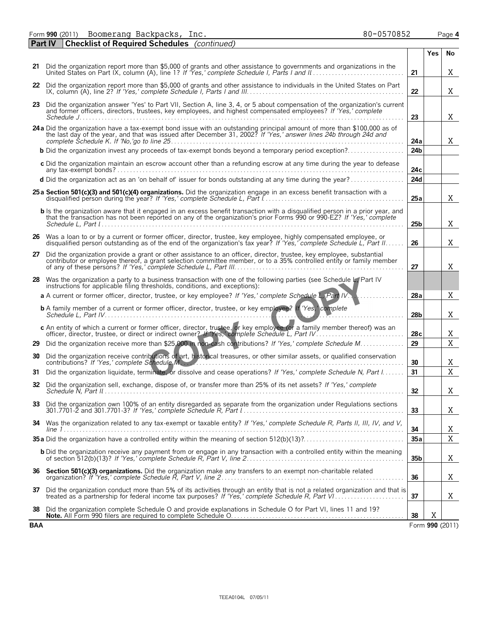Form **990** (2011) Page **4** Boomerang Backpacks, Inc. 80-0570852

|            | Part IV<br><b>Checklist of Required Schedules</b> (continued)                                                                                                                                                                                                                                                                                                                                                                                                                                                                                            |                 |     |                 |
|------------|----------------------------------------------------------------------------------------------------------------------------------------------------------------------------------------------------------------------------------------------------------------------------------------------------------------------------------------------------------------------------------------------------------------------------------------------------------------------------------------------------------------------------------------------------------|-----------------|-----|-----------------|
|            |                                                                                                                                                                                                                                                                                                                                                                                                                                                                                                                                                          |                 | Yes | No              |
|            | 21 Did the organization report more than \$5,000 of grants and other assistance to governments and organizations in the United States on Part IX, column (A), line 1? If 'Yes,' complete Schedule I, Parts I and II                                                                                                                                                                                                                                                                                                                                      | 21              |     | Χ               |
|            | 22 Did the organization report more than \$5,000 of grants and other assistance to individuals in the United States on Part                                                                                                                                                                                                                                                                                                                                                                                                                              | 22              |     | X               |
|            | 23 Did the organization answer 'Yes' to Part VII, Section A, line 3, 4, or 5 about compensation of the organization's current<br>and former officers, directors, trustees, key employees, and highest compensated employees? If 'Yes,' complete                                                                                                                                                                                                                                                                                                          | 23              |     | X               |
|            | 24a Did the organization have a tax-exempt bond issue with an outstanding principal amount of more than \$100,000 as of the last day of the year, and that was issued after December 31, 2002? If 'Yes,' answer lines 24b throu                                                                                                                                                                                                                                                                                                                          | 24a             |     | X               |
|            | <b>b</b> Did the organization invest any proceeds of tax-exempt bonds beyond a temporary period exception?                                                                                                                                                                                                                                                                                                                                                                                                                                               | 24 <sub>b</sub> |     |                 |
|            | c Did the organization maintain an escrow account other than a refunding escrow at any time during the year to defease<br>$\mathsf{any}\ \mathsf{tax\text{-}exempt}\ \mathsf{bonds?}\ \mathsf{}\ \mathsf{}\ \mathsf{}\ \mathsf{}\ \mathsf{}\ \mathsf{}\ \mathsf{}\ \mathsf{}\ \mathsf{}\ \mathsf{}\ \mathsf{}\ \mathsf{}\ \mathsf{}\ \mathsf{}\ \mathsf{}\ \mathsf{}\ \mathsf{}\ \mathsf{}\ \mathsf{}\ \mathsf{}\ \mathsf{}\ \mathsf{}\ \mathsf{}\ \mathsf{}\ \mathsf{}\ \mathsf{}\ \mathsf{}\ \mathsf{}\ \mathsf{}\ \mathsf{}\ \mathsf{}\ \mathsf{}\ \$ | 24c             |     |                 |
|            | d Did the organization act as an 'on behalf of' issuer for bonds outstanding at any time during the year?                                                                                                                                                                                                                                                                                                                                                                                                                                                | 24d             |     |                 |
|            | 25 a Section 501(c)(3) and 501(c)(4) organizations. Did the organization engage in an excess benefit transaction with a                                                                                                                                                                                                                                                                                                                                                                                                                                  | 25a             |     | X               |
|            | <b>b</b> Is the organization aware that it engaged in an excess benefit transaction with a disqualified person in a prior year, and that the transaction has not been reported on any of the organization's prior Forms 990 or 990-                                                                                                                                                                                                                                                                                                                      | 25 <sub>b</sub> |     | X               |
|            | 26 Was a loan to or by a current or former officer, director, trustee, key employee, highly compensated employee, or<br>disqualified person outstanding as of the end of the organization's tax year? If 'Yes,' complete Schedule L. Part II.                                                                                                                                                                                                                                                                                                            | 26              |     | X               |
| 27         | Did the organization provide a grant or other assistance to an officer, director, trustee, key employee, substantial<br>contributor or employee thereof, a grant selection committee member, or to a 35% controlled entity or fam                                                                                                                                                                                                                                                                                                                        | 27              |     | X               |
|            | 28 Was the organization a party to a business transaction with one of the following parties (see Schedule L. Part IV<br>instructions for applicable filing thresholds, conditions, and exceptions):                                                                                                                                                                                                                                                                                                                                                      |                 |     |                 |
|            | a A current or former officer, director, trustee, or key employee? If 'Yes,' complete Schedule L, Part IV.                                                                                                                                                                                                                                                                                                                                                                                                                                               | 28a             |     | X               |
|            | <b>b</b> A family member of a current or former officer, director, trustee, or key employee? If 'Yes,' complete                                                                                                                                                                                                                                                                                                                                                                                                                                          | 28 <sub>b</sub> |     | Χ               |
|            | c An entity of which a current or former officer, director, trustee, or key employee (or a family member thereof) was an                                                                                                                                                                                                                                                                                                                                                                                                                                 | 28c             |     | Χ               |
|            | 29 Did the organization receive more than \$25,000 in non-cash contributions? If 'Yes,' complete Schedule M                                                                                                                                                                                                                                                                                                                                                                                                                                              | 29              |     | X               |
| 30         | Did the organization receive contributions of art, historical treasures, or other similar assets, or qualified conservation<br>Did the organization liquidate, terminate, or dissolve and cease operations? If 'Yes,' complete Schedule N, Part I                                                                                                                                                                                                                                                                                                        | 30<br>31        |     | Χ<br>X          |
| 31.        |                                                                                                                                                                                                                                                                                                                                                                                                                                                                                                                                                          |                 |     |                 |
|            | 32 Did the organization sell, exchange, dispose of, or transfer more than 25% of its net assets? If 'Yes,' complete                                                                                                                                                                                                                                                                                                                                                                                                                                      | 32              |     | X               |
|            | 33 Did the organization own 100% of an entity disregarded as separate from the organization under Regulations sections                                                                                                                                                                                                                                                                                                                                                                                                                                   | 33              |     | Χ               |
|            | 34 Was the organization related to any tax-exempt or taxable entity? If 'Yes,' complete Schedule R, Parts II, III, IV, and V,                                                                                                                                                                                                                                                                                                                                                                                                                            | 34              |     | Χ               |
|            |                                                                                                                                                                                                                                                                                                                                                                                                                                                                                                                                                          | 35a             |     | $\mathbf X$     |
|            | <b>b</b> Did the organization receive any payment from or engage in any transaction with a controlled entity within the meaning                                                                                                                                                                                                                                                                                                                                                                                                                          | 35 <sub>b</sub> |     | Χ               |
| 36         | Section 501(c)(3) organizations. Did the organization make any transfers to an exempt non-charitable related                                                                                                                                                                                                                                                                                                                                                                                                                                             | 36              |     | Χ               |
| 37         | Did the organization conduct more than 5% of its activities through an entity that is not a related organization and that is<br>treated as a partnership for federal income tax purposes? If 'Yes,' complete Schedule R, Part VI                                                                                                                                                                                                                                                                                                                         | 37              |     | Χ               |
| 38         | Did the organization complete Schedule O and provide explanations in Schedule O for Part VI, lines 11 and 19?                                                                                                                                                                                                                                                                                                                                                                                                                                            | 38              | X   |                 |
| <b>BAA</b> |                                                                                                                                                                                                                                                                                                                                                                                                                                                                                                                                                          |                 |     | Form 990 (2011) |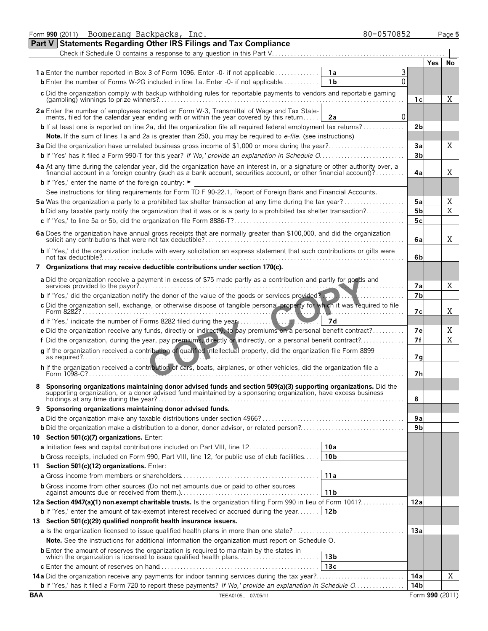|            | Form 990 (2011) Boomerang Backpacks, Inc.<br>80-0570852                                                                                                                                                                            |                 | Page 5         |
|------------|------------------------------------------------------------------------------------------------------------------------------------------------------------------------------------------------------------------------------------|-----------------|----------------|
|            | Part V Statements Regarding Other IRS Filings and Tax Compliance                                                                                                                                                                   |                 |                |
|            | Check if Schedule O contains a response to any question in this Part V.                                                                                                                                                            |                 |                |
|            |                                                                                                                                                                                                                                    | <b>Yes</b>      | No             |
|            | <b>1a</b> Enter the number reported in Box 3 of Form 1096. Enter -0- if not applicable<br>1a                                                                                                                                       |                 |                |
|            | $\Omega$<br>1 <sub>b</sub><br><b>b</b> Enter the number of Forms W-2G included in line 1a. Enter -0- if not applicable                                                                                                             |                 |                |
|            | c Did the organization comply with backup withholding rules for reportable payments to vendors and reportable gaming                                                                                                               | 1с              | Χ              |
|            | 2a Enter the number of employees reported on Form W-3, Transmittal of Wage and Tax Statements, filed for the calendar year ending with or within the year covered by this return<br>$\Omega$<br>2a                                 |                 |                |
|            | <b>b</b> If at least one is reported on line 2a, did the organization file all required federal employment tax returns?                                                                                                            | 2b              |                |
|            | Note. If the sum of lines 1a and 2a is greater than 250, you may be required to e-file. (see instructions)                                                                                                                         |                 |                |
|            |                                                                                                                                                                                                                                    | Зa              | Χ              |
|            |                                                                                                                                                                                                                                    | 3 <sub>b</sub>  |                |
|            | 4a At any time during the calendar year, did the organization have an interest in, or a signature or other authority over, a financial account in a foreign country (such as a bank account, securities account, or other fina     | 4a              | X              |
|            | <b>b</b> If 'Yes,' enter the name of the foreign country: ►                                                                                                                                                                        |                 |                |
|            | See instructions for filing requirements for Form TD F 90-22.1, Report of Foreign Bank and Financial Accounts.                                                                                                                     |                 |                |
|            | 5a Was the organization a party to a prohibited tax shelter transaction at any time during the tax year?                                                                                                                           | 5a              | Χ              |
|            | <b>b</b> Did any taxable party notify the organization that it was or is a party to a prohibited tax shelter transaction?                                                                                                          | 5 <sub>b</sub>  | $\overline{X}$ |
|            |                                                                                                                                                                                                                                    | 5c              |                |
|            |                                                                                                                                                                                                                                    | 6a              | X.             |
|            | b If 'Yes,' did the organization include with every solicitation an express statement that such contributions or gifts were                                                                                                        | 6b              |                |
|            | 7 Organizations that may receive deductible contributions under section 170(c).                                                                                                                                                    |                 |                |
|            | a Did the organization receive a payment in excess of \$75 made partly as a contribution and partly for goods and                                                                                                                  | 7а              | X              |
|            | <b>b</b> If 'Yes,' did the organization notify the donor of the value of the goods or services provided?                                                                                                                           | 7 <sub>b</sub>  |                |
|            | c Did the organization sell, exchange, or otherwise dispose of tangible personal property for which it was required to file<br>Form 8282?.                                                                                         | 7с              | X              |
|            | 7d<br>d If 'Yes,' indicate the number of Forms 8282 filed during the year                                                                                                                                                          |                 |                |
|            | e Did the organization receive any funds, directly or indirectly, to pay premiums on a personal benefit contract?                                                                                                                  | 7е              | Χ              |
|            | f Did the organization, during the year, pay premiums, directly or indirectly, on a personal benefit contract?                                                                                                                     | 7f              | $\overline{X}$ |
|            | g If the organization received a contribution of qualified intellectual property, did the organization file Form 8899                                                                                                              | 7g              |                |
|            | h If the organization received a contribution of cars, boats, airplanes, or other vehicles, did the organization file a<br>Form 1098-C?                                                                                            | 7h              |                |
|            | Sponsoring organizations maintaining donor advised funds and section 509(a)(3) supporting organizations. Did the<br>supporting organization, or a donor advised fund maintained by a sponsoring organization, have excess business | 8               |                |
|            | 9 Sponsoring organizations maintaining donor advised funds.                                                                                                                                                                        |                 |                |
|            |                                                                                                                                                                                                                                    | 9а              |                |
|            |                                                                                                                                                                                                                                    | 9b              |                |
|            | 10 Section 501(c)(7) organizations. Enter:                                                                                                                                                                                         |                 |                |
|            | <b>a</b> Initiation fees and capital contributions included on Part VIII, line 12.<br>10a                                                                                                                                          |                 |                |
|            | <b>b</b> Gross receipts, included on Form 990, Part VIII, line 12, for public use of club facilities<br>10 <sub>b</sub>                                                                                                            |                 |                |
|            | 11 Section 501(c)(12) organizations. Enter:                                                                                                                                                                                        |                 |                |
|            | 11a                                                                                                                                                                                                                                |                 |                |
|            | <b>b</b> Gross income from other sources (Do not net amounts due or paid to other sources<br>11 <sub>b</sub>                                                                                                                       |                 |                |
|            | 12a Section 4947(a)(1) non-exempt charitable trusts. Is the organization filing Form 990 in lieu of Form 1041?                                                                                                                     | 12a             |                |
|            | 12 <sub>b</sub><br><b>b</b> If 'Yes,' enter the amount of tax-exempt interest received or accrued during the year                                                                                                                  |                 |                |
|            | 13 Section 501(c)(29) qualified nonprofit health insurance issuers.                                                                                                                                                                |                 |                |
|            |                                                                                                                                                                                                                                    | 13a             |                |
|            | Note. See the instructions for additional information the organization must report on Schedule O.                                                                                                                                  |                 |                |
|            | <b>b</b> Enter the amount of reserves the organization is required to maintain by the states in<br>13 <sub>b</sub>                                                                                                                 |                 |                |
|            | 13c                                                                                                                                                                                                                                |                 |                |
|            | <b>14a</b> Did the organization receive any payments for indoor tanning services during the tax year?                                                                                                                              | 14a             | X              |
|            | <b>b</b> If 'Yes,' has it filed a Form 720 to report these payments? If 'No,' provide an explanation in Schedule O                                                                                                                 | 14b             |                |
| <b>BAA</b> | TEEA0105L 07/05/11                                                                                                                                                                                                                 | Form 990 (2011) |                |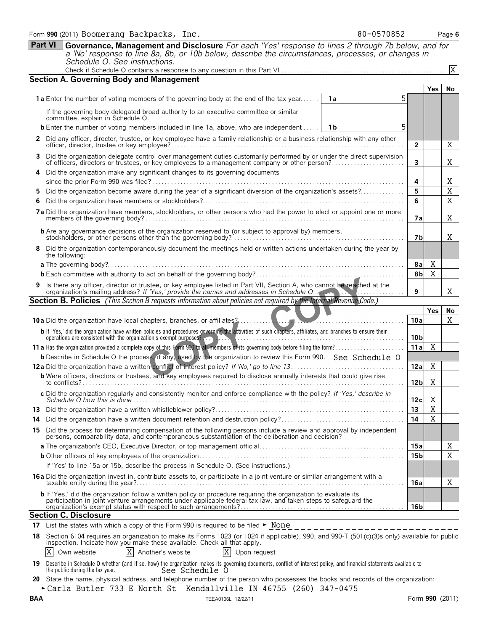| Form 990 (2011) Boomerang Backpacks, Inc.                                                                  | 80-0570852 | Page 6 |
|------------------------------------------------------------------------------------------------------------|------------|--------|
| Part VI Governance, Management and Disclosure For each 'Yes' response to lines 2 through 7b below, and for |            |        |
| a 'No' response to line 8a, 8b, or 10b below, describe the circumstances, processes, or changes in         |            |        |

*a 'No' response to line 8a, 8b, or 10b below, describe the circumstances, processes, or changes in Schedule O. See instructions.* Check if Schedule O contains a response to any question in this Part VI. . . . . . . . . . . . . . . . . . . . . . . . . . . . . . . . . . . . . . . . . . . . . . . . . . . . .

| 5<br><b>1a</b> Enter the number of voting members of the governing body at the end of the tax year<br>1a<br>If the governing body delegated broad authority to an executive committee or similar<br>committee, explain in Schedule O.<br>5<br><b>b</b> Enter the number of voting members included in line 1a, above, who are independent<br>1b<br>2 Did any officer, director, trustee, or key employee have a family relationship or a business relationship with any other<br>$\mathbf{2}$<br>3 Did the organization delegate control over management duties customarily performed by or under the direct supervision of officers, directors or trustees, or key employees to a management company or other person?<br>3<br>4 Did the organization make any significant changes to its governing documents | Yes         | No<br>X     |
|---------------------------------------------------------------------------------------------------------------------------------------------------------------------------------------------------------------------------------------------------------------------------------------------------------------------------------------------------------------------------------------------------------------------------------------------------------------------------------------------------------------------------------------------------------------------------------------------------------------------------------------------------------------------------------------------------------------------------------------------------------------------------------------------------------------|-------------|-------------|
|                                                                                                                                                                                                                                                                                                                                                                                                                                                                                                                                                                                                                                                                                                                                                                                                               |             |             |
|                                                                                                                                                                                                                                                                                                                                                                                                                                                                                                                                                                                                                                                                                                                                                                                                               |             |             |
|                                                                                                                                                                                                                                                                                                                                                                                                                                                                                                                                                                                                                                                                                                                                                                                                               |             |             |
|                                                                                                                                                                                                                                                                                                                                                                                                                                                                                                                                                                                                                                                                                                                                                                                                               |             |             |
|                                                                                                                                                                                                                                                                                                                                                                                                                                                                                                                                                                                                                                                                                                                                                                                                               |             |             |
|                                                                                                                                                                                                                                                                                                                                                                                                                                                                                                                                                                                                                                                                                                                                                                                                               |             | Χ           |
|                                                                                                                                                                                                                                                                                                                                                                                                                                                                                                                                                                                                                                                                                                                                                                                                               |             |             |
| 4                                                                                                                                                                                                                                                                                                                                                                                                                                                                                                                                                                                                                                                                                                                                                                                                             |             | Χ           |
| Did the organization become aware during the year of a significant diversion of the organization's assets?<br>5                                                                                                                                                                                                                                                                                                                                                                                                                                                                                                                                                                                                                                                                                               |             | $\mathbf X$ |
| 6                                                                                                                                                                                                                                                                                                                                                                                                                                                                                                                                                                                                                                                                                                                                                                                                             |             | $\mathbf X$ |
| 7a Did the organization have members, stockholders, or other persons who had the power to elect or appoint one or more                                                                                                                                                                                                                                                                                                                                                                                                                                                                                                                                                                                                                                                                                        | 7а          | X           |
|                                                                                                                                                                                                                                                                                                                                                                                                                                                                                                                                                                                                                                                                                                                                                                                                               | 7b          | X           |
| 8 Did the organization contemporaneously document the meetings held or written actions undertaken during the year by<br>the following:                                                                                                                                                                                                                                                                                                                                                                                                                                                                                                                                                                                                                                                                        |             |             |
|                                                                                                                                                                                                                                                                                                                                                                                                                                                                                                                                                                                                                                                                                                                                                                                                               | Χ<br>8a     |             |
|                                                                                                                                                                                                                                                                                                                                                                                                                                                                                                                                                                                                                                                                                                                                                                                                               | X<br>8b     |             |
| 9 Is there any officer, director or trustee, or key employee listed in Part VII, Section A, who cannot be reached at the organization's mailing address? If 'Yes,' provide the names and addresses in Schedule O.<br>9                                                                                                                                                                                                                                                                                                                                                                                                                                                                                                                                                                                        |             | X           |
| <b>Section B. Policies</b> (This Section B requests information about policies not required by the Internal Revenue Code.)                                                                                                                                                                                                                                                                                                                                                                                                                                                                                                                                                                                                                                                                                    |             |             |
|                                                                                                                                                                                                                                                                                                                                                                                                                                                                                                                                                                                                                                                                                                                                                                                                               | <b>Yes</b>  | No          |
| 10a<br><b>10a</b> Did the organization have local chapters, branches, or affiliates?                                                                                                                                                                                                                                                                                                                                                                                                                                                                                                                                                                                                                                                                                                                          |             | X           |
| b If 'Yes,' did the organization have written policies and procedures governing the activities of such chapters, affiliates, and branches to ensure their<br>operations are consistent with the organization's exempt purposes?<br>10 <sub>b</sub>                                                                                                                                                                                                                                                                                                                                                                                                                                                                                                                                                            |             |             |
| 11a                                                                                                                                                                                                                                                                                                                                                                                                                                                                                                                                                                                                                                                                                                                                                                                                           | X           |             |
| <b>b</b> Describe in Schedule O the process, if any, used by the organization to review this Form 990. See Schedule O                                                                                                                                                                                                                                                                                                                                                                                                                                                                                                                                                                                                                                                                                         |             |             |
| 12a                                                                                                                                                                                                                                                                                                                                                                                                                                                                                                                                                                                                                                                                                                                                                                                                           | X           |             |
| <b>b</b> Were officers, directors or trustees, and key employees required to disclose annually interests that could give rise<br>12 <sub>b</sub>                                                                                                                                                                                                                                                                                                                                                                                                                                                                                                                                                                                                                                                              | X           |             |
| 12c                                                                                                                                                                                                                                                                                                                                                                                                                                                                                                                                                                                                                                                                                                                                                                                                           | X           |             |
| 13                                                                                                                                                                                                                                                                                                                                                                                                                                                                                                                                                                                                                                                                                                                                                                                                            | $\rm X$     |             |
| 14                                                                                                                                                                                                                                                                                                                                                                                                                                                                                                                                                                                                                                                                                                                                                                                                            | $\mathbf X$ |             |
| 15 Did the process for determining compensation of the following persons include a review and approval by independent<br>persons, comparability data, and contemporaneous substantiation of the deliberation and decision?                                                                                                                                                                                                                                                                                                                                                                                                                                                                                                                                                                                    |             |             |
| 15a                                                                                                                                                                                                                                                                                                                                                                                                                                                                                                                                                                                                                                                                                                                                                                                                           |             | Χ           |
| 15 b                                                                                                                                                                                                                                                                                                                                                                                                                                                                                                                                                                                                                                                                                                                                                                                                          |             | X           |
| If 'Yes' to line 15a or 15b, describe the process in Schedule O. (See instructions.)                                                                                                                                                                                                                                                                                                                                                                                                                                                                                                                                                                                                                                                                                                                          |             |             |
| 16a Did the organization invest in, contribute assets to, or participate in a joint venture or similar arrangement with a<br>16a                                                                                                                                                                                                                                                                                                                                                                                                                                                                                                                                                                                                                                                                              |             | Χ           |
| b If 'Yes,' did the organization follow a written policy or procedure requiring the organization to evaluate its<br>16 <sub>b</sub>                                                                                                                                                                                                                                                                                                                                                                                                                                                                                                                                                                                                                                                                           |             |             |
| <b>Section C. Disclosure</b>                                                                                                                                                                                                                                                                                                                                                                                                                                                                                                                                                                                                                                                                                                                                                                                  |             |             |
| 17 List the states with which a copy of this Form 990 is required to be filed ► None                                                                                                                                                                                                                                                                                                                                                                                                                                                                                                                                                                                                                                                                                                                          |             |             |
| __________________________<br>18 Section 6104 requires an organization to make its Forms 1023 (or 1024 if applicable), 990, and 990-T (501(c)(3)s only) available for public                                                                                                                                                                                                                                                                                                                                                                                                                                                                                                                                                                                                                                  |             |             |

inspection. Indicate how you make these available. Check all that apply.

 $X$  Own website  $|X|$  Another's website  $|X|$  Upon request

| 19 |                                 |                |  | Describe in Schedule O whether (and if so, how) the organization makes its governing documents, conflict of interest policy, and financial statements available to |
|----|---------------------------------|----------------|--|--------------------------------------------------------------------------------------------------------------------------------------------------------------------|
|    | the public during the tax year. | See Schedule ( |  |                                                                                                                                                                    |

**20** State the name, physical address, and telephone number of the person who possesses the books and records of the organization: **-Carla Butler 733 E North St \_ Kendallville IN 46755 (260) 347-0475** 

X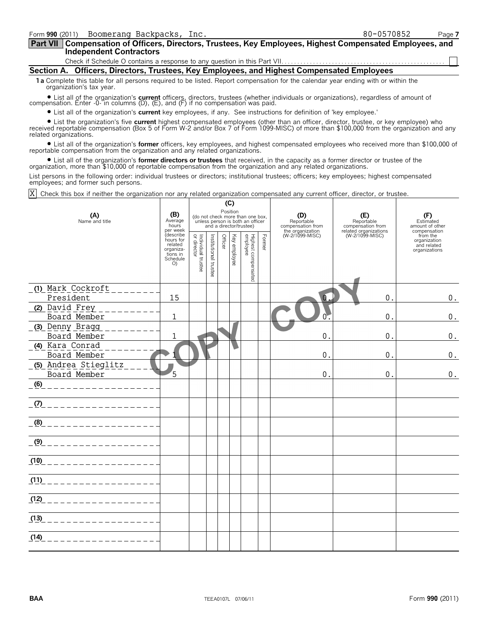| Form 990 (2011) Boomerang Backpacks, Inc.                                                                   | 80-0570852 | Page 7 |
|-------------------------------------------------------------------------------------------------------------|------------|--------|
| Part VII   Compensation of Officers, Directors, Trustees, Key Employees, Highest Compensated Employees, and |            |        |
| <b>Independent Contractors</b>                                                                              |            |        |
|                                                                                                             |            |        |
| Section A. Officers, Directors, Trustees, Key Employees, and Highest Compensated Employees                  |            |        |

**1a** Complete this table for all persons required to be listed. Report compensation for the calendar year ending with or within the organization's tax year.

? List all of the organization's **current** officers, directors, trustees (whether individuals or organizations), regardless of amount of compensation. Enter -0- in columns (D), (E), and (F) if no compensation was paid.

? List all of the organization's **current** key employees, if any. See instructions for definition of 'key employee.'

? List the organization's five **current** highest compensated employees (other than an officer, director, trustee, or key employee) who received reportable compensation (Box 5 of Form W-2 and/or Box 7 of Form 1099-MISC) of more than \$100,000 from the organization and any related organizations.

? List all of the organization's **former** officers, key employees, and highest compensated employees who received more than \$100,000 of reportable compensation from the organization and any related organizations.

? List all of the organization's **former directors or trustees** that received, in the capacity as a former director or trustee of the organization, more than \$10,000 of reportable compensation from the organization and any related organizations.

List persons in the following order: individual trustees or directors; institutional trustees; officers; key employees; highest compensated employees; and former such persons.

Check this box if neither the organization nor any related organization compensated any current officer, director, or trustee. X

|                                             |                                                                            |                                                                       |  |              | (C)                             |                                                                                                 |                                     |                                          |                                                          |                                                     |
|---------------------------------------------|----------------------------------------------------------------------------|-----------------------------------------------------------------------|--|--------------|---------------------------------|-------------------------------------------------------------------------------------------------|-------------------------------------|------------------------------------------|----------------------------------------------------------|-----------------------------------------------------|
| (A)<br>Name and title                       | (B)<br>Average<br>hours<br>per week                                        |                                                                       |  |              | Position                        | (do not check more than one box,<br>unless person is both an officer<br>and a director/trustee) |                                     | (D)<br>Reportable<br>compensation from   | (E)<br>Reportable<br>compensation from                   | (F)<br>Estimated<br>amount of other<br>compensation |
|                                             | describe<br>hours for<br>related<br>organiza-<br>tions in<br>Schedule<br>O | Individual trustee<br>or director<br>Institutional trustee<br>Officer |  | Key employee | Highest compensated<br>employee | Former                                                                                          | the organization<br>(W-2/1099-MISC) | related organizations<br>(W-2/1099-MISC) | from the<br>organization<br>and related<br>organizations |                                                     |
| (1) Mark Cockroft<br>President              | 15                                                                         |                                                                       |  |              |                                 |                                                                                                 |                                     | ∩                                        | 0.                                                       | 0.                                                  |
| (2) David Frey<br>Board Member              | $\mathbf{1}$                                                               |                                                                       |  |              |                                 |                                                                                                 |                                     |                                          | $\mathbf{0}$ .                                           | $0$ .                                               |
| (3) Denny Bragg<br>Board Member             | 1                                                                          |                                                                       |  |              |                                 |                                                                                                 |                                     | $\mathbf 0$                              | $\mathbf{0}$                                             | $\boldsymbol{0}$ .                                  |
| (4) Kara Conrad<br>Board Member             |                                                                            |                                                                       |  |              |                                 |                                                                                                 |                                     | 0.                                       | $\overline{0}$ .                                         | $\boldsymbol{0}$ .                                  |
| <u>(5) Andrea Stieglitz</u><br>Board Member | 5                                                                          |                                                                       |  |              |                                 |                                                                                                 |                                     | 0.                                       | 0.                                                       | $\boldsymbol{0}$ .                                  |
|                                             |                                                                            |                                                                       |  |              |                                 |                                                                                                 |                                     |                                          |                                                          |                                                     |
|                                             |                                                                            |                                                                       |  |              |                                 |                                                                                                 |                                     |                                          |                                                          |                                                     |
|                                             |                                                                            |                                                                       |  |              |                                 |                                                                                                 |                                     |                                          |                                                          |                                                     |
|                                             |                                                                            |                                                                       |  |              |                                 |                                                                                                 |                                     |                                          |                                                          |                                                     |
| $(10)$ _ _ _ _ _ _ _ _ _ _ _ _              |                                                                            |                                                                       |  |              |                                 |                                                                                                 |                                     |                                          |                                                          |                                                     |
| $(11)$ _ _ _ _ _ _ _ _ _ _ _ _ _ _          |                                                                            |                                                                       |  |              |                                 |                                                                                                 |                                     |                                          |                                                          |                                                     |
| $(12)$ _ _ _ _ _ _ _ _ _ _ _ _ _ _ _ _      |                                                                            |                                                                       |  |              |                                 |                                                                                                 |                                     |                                          |                                                          |                                                     |
| (13)<br>_____________                       |                                                                            |                                                                       |  |              |                                 |                                                                                                 |                                     |                                          |                                                          |                                                     |
| (14)                                        |                                                                            |                                                                       |  |              |                                 |                                                                                                 |                                     |                                          |                                                          |                                                     |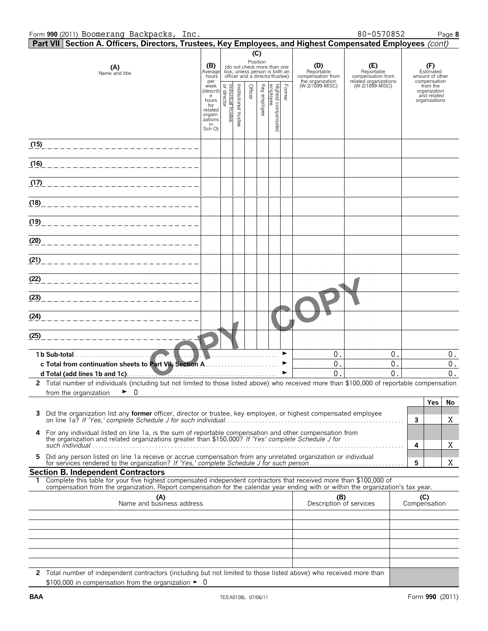|                       | Form 990 (2011) Boomerang Backpacks, Inc.                                                                                                                                                                                                                |                                                                                                                    |                     |         |                 |                                                                                                 |                       |                                        | 80-0570852                               |   | Page 8                                                   |
|-----------------------|----------------------------------------------------------------------------------------------------------------------------------------------------------------------------------------------------------------------------------------------------------|--------------------------------------------------------------------------------------------------------------------|---------------------|---------|-----------------|-------------------------------------------------------------------------------------------------|-----------------------|----------------------------------------|------------------------------------------|---|----------------------------------------------------------|
|                       | Part VII Section A. Officers, Directors, Trustees, Key Employees, and Highest Compensated Employees (cont)                                                                                                                                               |                                                                                                                    |                     |         |                 |                                                                                                 |                       |                                        |                                          |   |                                                          |
|                       | (A)<br>Name and title                                                                                                                                                                                                                                    | (B)<br>Average<br>hours                                                                                            |                     |         | (C)<br>Position | (do not check more than one<br>box, unless person is both an<br>officer and a director/trustee) |                       | (D)<br>Reportable<br>compensation from | (E)<br>Reportable<br>compensation from   |   | (F)<br>Estimated<br>amount of other<br>compensation      |
|                       |                                                                                                                                                                                                                                                          | per<br>per<br>(describ<br>e hours<br>for a factor<br>for a factor<br>related<br>organi-<br>zations<br>in<br>Sch O) | Institutional trust | Officer | Key employee    | Former<br>Highest compensated<br>employee                                                       |                       | the organization<br>(W-2/1099-MISC)    | related organizations<br>(W-2/1099-MISC) |   | from the<br>organization<br>and related<br>organizations |
|                       | <u>(15) ________________________</u>                                                                                                                                                                                                                     |                                                                                                                    |                     |         |                 |                                                                                                 |                       |                                        |                                          |   |                                                          |
|                       | <u>(16) ________________________</u>                                                                                                                                                                                                                     |                                                                                                                    |                     |         |                 |                                                                                                 |                       |                                        |                                          |   |                                                          |
|                       |                                                                                                                                                                                                                                                          |                                                                                                                    |                     |         |                 |                                                                                                 |                       |                                        |                                          |   |                                                          |
|                       |                                                                                                                                                                                                                                                          |                                                                                                                    |                     |         |                 |                                                                                                 |                       |                                        |                                          |   |                                                          |
|                       |                                                                                                                                                                                                                                                          |                                                                                                                    |                     |         |                 |                                                                                                 |                       |                                        |                                          |   |                                                          |
|                       |                                                                                                                                                                                                                                                          |                                                                                                                    |                     |         |                 |                                                                                                 |                       |                                        |                                          |   |                                                          |
|                       |                                                                                                                                                                                                                                                          |                                                                                                                    |                     |         |                 |                                                                                                 |                       |                                        |                                          |   |                                                          |
|                       |                                                                                                                                                                                                                                                          |                                                                                                                    |                     |         |                 |                                                                                                 |                       |                                        |                                          |   |                                                          |
|                       | (23)_______________________________                                                                                                                                                                                                                      |                                                                                                                    |                     |         |                 |                                                                                                 |                       |                                        |                                          |   |                                                          |
|                       | (24)_______________________________                                                                                                                                                                                                                      |                                                                                                                    |                     |         |                 |                                                                                                 |                       |                                        |                                          |   |                                                          |
|                       |                                                                                                                                                                                                                                                          |                                                                                                                    |                     |         |                 |                                                                                                 |                       |                                        |                                          |   |                                                          |
|                       |                                                                                                                                                                                                                                                          |                                                                                                                    |                     |         |                 |                                                                                                 | $\blacktriangleright$ | 0.<br>0.<br>$\Omega$                   | 0.<br>0.<br>0                            |   | 0.<br>$0$ .<br>$0$ .                                     |
| from the organization | 2 Total number of individuals (including but not limited to those listed above) who received more than \$100,000 of reportable compensation<br>►<br>0                                                                                                    |                                                                                                                    |                     |         |                 |                                                                                                 |                       |                                        |                                          |   |                                                          |
|                       | 3 Did the organization list any former officer, director or trustee, key employee, or highest compensated employee                                                                                                                                       |                                                                                                                    |                     |         |                 |                                                                                                 |                       |                                        |                                          | 3 | Yes<br>No<br>Χ                                           |
| 4                     | For any individual listed on line 1a, is the sum of reportable compensation and other compensation from<br>the organization and related organizations greater than \$150,000? If 'Yes' complete Schedule J for                                           |                                                                                                                    |                     |         |                 |                                                                                                 |                       |                                        |                                          | 4 | Χ                                                        |
| 5.                    | Did any person listed on line 1a receive or accrue compensation from any unrelated organization or individual                                                                                                                                            |                                                                                                                    |                     |         |                 |                                                                                                 |                       |                                        |                                          | 5 | Χ                                                        |
|                       | <b>Section B. Independent Contractors</b>                                                                                                                                                                                                                |                                                                                                                    |                     |         |                 |                                                                                                 |                       |                                        |                                          |   |                                                          |
|                       | 1 Complete this table for your five highest compensated independent contractors that received more than \$100,000 of<br>compensation from the organization. Report compensation for the calendar year ending with or within the organization's tax year. |                                                                                                                    |                     |         |                 |                                                                                                 |                       |                                        |                                          |   |                                                          |
|                       | (A)<br>Name and business address                                                                                                                                                                                                                         |                                                                                                                    |                     |         |                 |                                                                                                 |                       | (B)<br>Description of services         |                                          |   | (C)<br>Compensation                                      |
|                       |                                                                                                                                                                                                                                                          |                                                                                                                    |                     |         |                 |                                                                                                 |                       |                                        |                                          |   |                                                          |
|                       |                                                                                                                                                                                                                                                          |                                                                                                                    |                     |         |                 |                                                                                                 |                       |                                        |                                          |   |                                                          |
|                       |                                                                                                                                                                                                                                                          |                                                                                                                    |                     |         |                 |                                                                                                 |                       |                                        |                                          |   |                                                          |
|                       |                                                                                                                                                                                                                                                          |                                                                                                                    |                     |         |                 |                                                                                                 |                       |                                        |                                          |   |                                                          |
|                       | 2 Total number of independent contractors (including but not limited to those listed above) who received more than                                                                                                                                       |                                                                                                                    |                     |         |                 |                                                                                                 |                       |                                        |                                          |   |                                                          |

 $$100,000$  in compensation from the organization  $\blacktriangleright$  0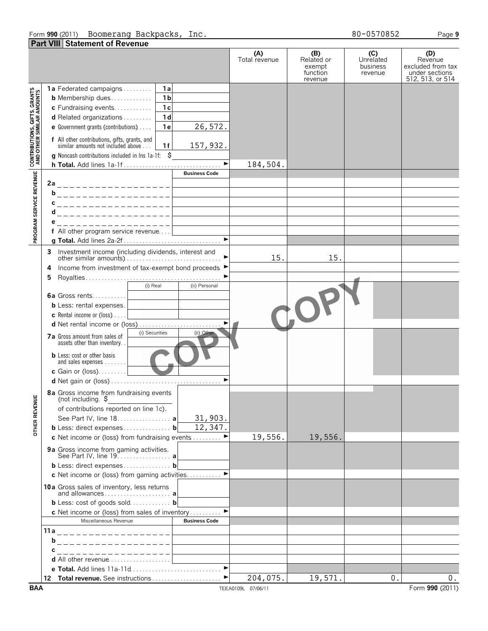#### Form **990** (2011) Page **9** Boomerang Backpacks, Inc. 80-0570852 **Part VIII Statement of Revenue**

**(A) (B) (C) (D)** Total revenue Related or **Unrelated Revenue** excluded from tax exempt business function revenue under sections 512, 513, or 514 revenue **1a** Federated campaigns. . . . . . . . . . **1a** CONTRIBUTIONS, GIFTS, GRANTS<br>AND OTHER SIMILAR AMOUNTS **b** Membership dues. . . . . . . . . . . . . **1b c** Fundraising events. . . . . . . . . . . . **1c d** Related organizations . . . . . . . . . **1d** 26,572. **e** Government grants (contributions). . . . . **1e f** All other contributions, gifts, grants, and 157,932. similar amounts not included above. . . . **1f g** Noncash contributions included in lns 1a-1f: \$ **h Total.** Add lines 1a-1f . . . . . . . . . . . . . . . . . . . . . . . . . . . . . . . G 184,504. PROGRAM SERVICE REVENUE **Business Code 2a b c**\_\_\_\_\_\_\_\_\_\_\_\_\_\_\_ **d e f** All other program service revenue. . . . **g Total.** Add lines 2a-2f . . . . . . . . . . . . . . . . . . . . . . . . . . . . . . . G **3** Investment income (including dividends, interest and 15. 15. other similar amounts). . . . . . . . . . . . . . . . . . . . . . . . . . . . . . . G **4** Income from investment of tax-exempt bond proceeds ▶ **5** Royalties . . . . . . . . . . . . . . . . . . . . . . . . . . . . . . . . . . . . . . . . . . . G (i) Real (ii) Personal **6a** Gross rents. . . . . . . . . . **b** Less: rental expenses. **c** Rental income or (loss). . . . . **d** Net rental income or (loss). . . . . . . . . . . . . . . . . . . . . . . . . . . G **7a** Gross amount from sales of (i) Securities (ii) assets other than inventory. **b** Less: cost or other basis and sales expenses . . . . . **c** Gain or (loss). . . . . . . . . **d** Net gain or (loss) . . . . . . . . . . . . . . . . . . . . . . . . . . . . . . . . . . . G **8a** Gross income from fundraising events **OTHER REVENUE** (not including. \$ of contributions reported on line 1c). See Part IV, line 18. . . . . . . . . . . . . . . . . **a** 31,903. 12,347.**b** Less: direct expenses . . . . . . . . . . . . . . . **b c** Net income or (loss) from fundraising events . . . . . . . 19,556. 19,556. **9a** Gross income from gaming activities. See Part IV, line 19. . . . . . . . . . . . . . . . . **a b** Less: direct expenses . . . . . . . . . . . . . . . **b c** Net income or (loss) from gaming activities. . . . . . . . . . ▶ **10a** Gross sales of inventory, less returns and allowances . . . . . . . . . . . . . . . . . . . . . **a b** Less: cost of goods sold. . . . . . . . . . . . . **b c** Net income or (loss) from sales of inventory Miscellaneous Revenue **Business Code 11a b c d** All other revenue . . . . . . . . . . . . . . **e Total.** Add lines 11a-11d . . . . . . . . . . . . . . . **12 Total revenue.** See instructions . . . . . . . . . . . . . . . . . . ▶  $204,075.$  19,571. 0. 0.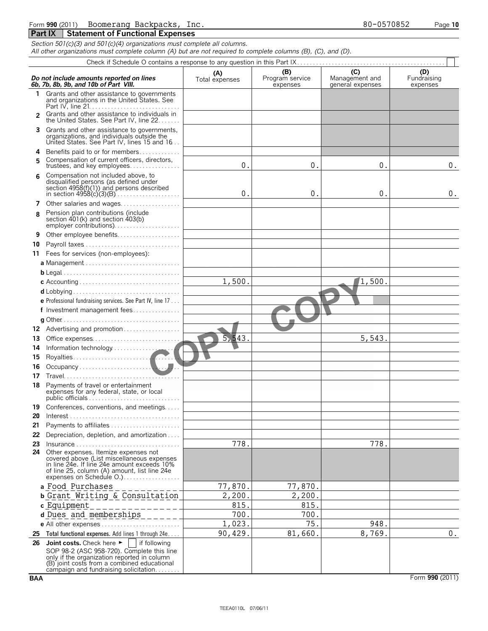| Form 990 (2011) | Boomerang<br>Backpacks,<br>lnc.         | 80-0570852 | 10<br>raae |
|-----------------|-----------------------------------------|------------|------------|
| <b>Part IX</b>  | <b>Statement of Functional Expenses</b> |            |            |

| Section 501(c)(3) and 501(c)(4) organizations must complete all columns. |  |  |  |
|--------------------------------------------------------------------------|--|--|--|

*All other organizations must complete column (A) but are not required to complete columns (B), (C), and (D).*

|                | Do not include amounts reported on lines<br>6b, 7b, 8b, 9b, and 10b of Part VIII.                                                                                                                                | (A)<br>Total expenses | (B)<br>Program service<br>expenses | (C)<br>Management and<br>general expenses | (D)<br>Fundraising<br>expenses |
|----------------|------------------------------------------------------------------------------------------------------------------------------------------------------------------------------------------------------------------|-----------------------|------------------------------------|-------------------------------------------|--------------------------------|
| 1              | Grants and other assistance to governments<br>and organizations in the United States. See                                                                                                                        |                       |                                    |                                           |                                |
| $\mathfrak{p}$ | Grants and other assistance to individuals in<br>the United States. See Part IV, line 22                                                                                                                         |                       |                                    |                                           |                                |
| 3              | Grants and other assistance to governments,<br>organizations, and individuals outside the<br>United States. See Part IV, lines 15 and 16.                                                                        |                       |                                    |                                           |                                |
| 4<br>5         | Benefits paid to or for members<br>Compensation of current officers, directors,<br>trustees, and key employees                                                                                                   | $0$ .                 | 0 <sup>1</sup>                     | 0.                                        | 0.                             |
|                | Compensation not included above, to<br>disqualified persons (as defined under<br>section $4958(f)(1)$ and persons described                                                                                      | $\mathbf 0$           | 0                                  | 0.                                        | 0.                             |
| 7              | Other salaries and wages                                                                                                                                                                                         |                       |                                    |                                           |                                |
| 8              | Pension plan contributions (include<br>section $401(k)$ and section $403(b)$                                                                                                                                     |                       |                                    |                                           |                                |
|                | Other employee benefits                                                                                                                                                                                          |                       |                                    |                                           |                                |
| 10             |                                                                                                                                                                                                                  |                       |                                    |                                           |                                |
| 11             | Fees for services (non-employees):                                                                                                                                                                               |                       |                                    |                                           |                                |
|                |                                                                                                                                                                                                                  |                       |                                    |                                           |                                |
|                |                                                                                                                                                                                                                  |                       |                                    |                                           |                                |
|                |                                                                                                                                                                                                                  | 1,500.                |                                    | /1,500.                                   |                                |
|                |                                                                                                                                                                                                                  |                       |                                    |                                           |                                |
|                | <b>e</b> Professional fundraising services. See Part IV, line 17                                                                                                                                                 |                       |                                    |                                           |                                |
|                | f Investment management fees                                                                                                                                                                                     |                       |                                    |                                           |                                |
|                |                                                                                                                                                                                                                  |                       |                                    |                                           |                                |
| 12             | Advertising and promotion                                                                                                                                                                                        |                       |                                    |                                           |                                |
| 13             |                                                                                                                                                                                                                  | 5,543.                |                                    | 5,543.                                    |                                |
| 14             |                                                                                                                                                                                                                  |                       |                                    |                                           |                                |
| 15             |                                                                                                                                                                                                                  |                       |                                    |                                           |                                |
| 16<br>17       | Travel                                                                                                                                                                                                           |                       |                                    |                                           |                                |
| 18             | Payments of travel or entertainment<br>expenses for any federal, state, or local<br>public officials                                                                                                             |                       |                                    |                                           |                                |
|                | 19 Conferences, conventions, and meetings                                                                                                                                                                        |                       |                                    |                                           |                                |
| 20             |                                                                                                                                                                                                                  |                       |                                    |                                           |                                |
| 21             | Payments to affiliates                                                                                                                                                                                           |                       |                                    |                                           |                                |
| 22             | Depreciation, depletion, and amortization                                                                                                                                                                        |                       |                                    |                                           |                                |
| 23             |                                                                                                                                                                                                                  | 778.                  |                                    | 778.                                      |                                |
|                | 24 Other expenses. Itemize expenses not<br>covered above (List miscellaneous expenses<br>in line 24e. If line 24e amount exceeds 10%<br>of line 25, column (A) amount, list line 24e<br>expenses on Schedule O.) |                       |                                    |                                           |                                |
|                | a Food Purchases                                                                                                                                                                                                 | 77,870.               | 77,870.                            |                                           |                                |
|                | <b>b</b> Grant Writing & Consultation                                                                                                                                                                            | 2,200.                | 2,200.                             |                                           |                                |
|                | c Equipment                                                                                                                                                                                                      | 815.                  | 815                                |                                           |                                |
|                | d Dues and memberships                                                                                                                                                                                           | 700                   | 700.                               |                                           |                                |
|                | e All other expenses                                                                                                                                                                                             | 1,023.                | $7\overline{5}$ .                  | 948.                                      |                                |
|                | 25 Total functional expenses. Add lines 1 through 24e                                                                                                                                                            | 90,429.               | 81,660.                            | 8,769.                                    | 0.                             |
|                | 26 Joint costs. Check here $\blacktriangleright$<br>l if following                                                                                                                                               |                       |                                    |                                           |                                |
|                | SOP 98-2 (ASC 958-720). Complete this line<br>only if the organization reported in column<br>(B) joint costs from a combined educational<br>campaign and fundraising solicitation                                |                       |                                    |                                           |                                |

**BAA** Form 990 (2011)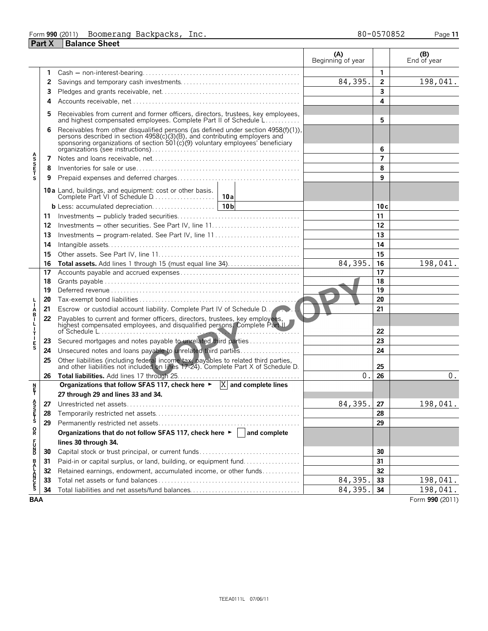| Form 990 (2011) | Boomerang<br>Backpacks. | lnc. | 80-0570852 | Page 11 |
|-----------------|-------------------------|------|------------|---------|
| <b>Part X</b>   | Balance Sheet           |      |            |         |

|                       |    |                                                                                                                                                                                                                                                       | (A)<br>Beginning of year |                | (B)<br>End of year |
|-----------------------|----|-------------------------------------------------------------------------------------------------------------------------------------------------------------------------------------------------------------------------------------------------------|--------------------------|----------------|--------------------|
|                       | 1  |                                                                                                                                                                                                                                                       |                          | $\mathbf{1}$   |                    |
|                       | 2  |                                                                                                                                                                                                                                                       | 84,395.                  | $\mathbf{2}$   | 198,041.           |
|                       | 3  |                                                                                                                                                                                                                                                       |                          | 3              |                    |
|                       | 4  |                                                                                                                                                                                                                                                       |                          | 4              |                    |
|                       |    |                                                                                                                                                                                                                                                       |                          |                |                    |
|                       | 5  | Receivables from current and former officers, directors, trustees, key employees,<br>and highest compensated employees. Complete Part II of Schedule L                                                                                                |                          | 5              |                    |
|                       | 6  | Receivables from other disqualified persons (as defined under section 4958(f)(1)),<br>persons described in section $4958(c)(3)(B)$ , and contributing employers and<br>sponsoring organizations of section 501(c)(9) voluntary employees' beneficiary |                          | 6              |                    |
|                       | 7  |                                                                                                                                                                                                                                                       |                          | $\overline{7}$ |                    |
| <b>ASSETS</b>         | 8  |                                                                                                                                                                                                                                                       |                          | 8              |                    |
|                       | 9  |                                                                                                                                                                                                                                                       |                          | 9              |                    |
|                       |    | <b>10a</b> Land, buildings, and equipment: cost or other basis.                                                                                                                                                                                       |                          |                |                    |
|                       |    |                                                                                                                                                                                                                                                       |                          | 10c            |                    |
|                       | 11 |                                                                                                                                                                                                                                                       |                          | 11             |                    |
|                       | 12 |                                                                                                                                                                                                                                                       |                          | 12             |                    |
|                       | 13 |                                                                                                                                                                                                                                                       |                          | 13             |                    |
|                       | 14 |                                                                                                                                                                                                                                                       |                          | 14             |                    |
|                       | 15 |                                                                                                                                                                                                                                                       |                          | 15             |                    |
|                       | 16 |                                                                                                                                                                                                                                                       | 84,395.                  | 16             | 198,041.           |
|                       | 17 |                                                                                                                                                                                                                                                       |                          | 17             |                    |
|                       | 18 |                                                                                                                                                                                                                                                       |                          | 18             |                    |
|                       | 19 |                                                                                                                                                                                                                                                       |                          | 19             |                    |
|                       | 20 |                                                                                                                                                                                                                                                       |                          | 20             |                    |
| Á<br>B<br>I           | 21 | <b>Escrow</b> or custodial account liability. Complete Part IV of Schedule D.                                                                                                                                                                         |                          | 21             |                    |
| $\frac{1}{1}$<br>T    | 22 | Payables to current and former officers, directors, trustees, key employees, highest compensated employees, and disqualified persons. Complete Part IL                                                                                                |                          | 22             |                    |
|                       | 23 | Secured mortgages and notes payable to unrelated third parties                                                                                                                                                                                        |                          | 23             |                    |
| E<br>S                | 24 | Unsecured notes and loans payable to unrelated third parties                                                                                                                                                                                          |                          | 24             |                    |
|                       | 25 | Other liabilities (including federal income tax, payables to related third parties, and other liabilities not included on lines 17-24). Complete Part X of Schedule D.                                                                                |                          | 25             |                    |
|                       | 26 |                                                                                                                                                                                                                                                       | $0$ .                    | 26             | $0$ .              |
| n<br>F                |    | Organizations that follow SFAS 117, check here $\blacktriangleright$ $ X $ and complete lines                                                                                                                                                         |                          |                |                    |
|                       |    | 27 through 29 and lines 33 and 34.                                                                                                                                                                                                                    |                          |                |                    |
|                       |    | 27 Unrestricted net assets.                                                                                                                                                                                                                           | 84,395                   | 27             | 198,041            |
| A<br>S<br>S<br>T<br>S | 28 |                                                                                                                                                                                                                                                       |                          | 28             |                    |
|                       | 29 |                                                                                                                                                                                                                                                       |                          | 29             |                    |
| R                     |    | Organizations that do not follow SFAS 117, check here $\blacktriangleright$   and complete                                                                                                                                                            |                          |                |                    |
| F<br>D<br>D           |    | lines 30 through 34.                                                                                                                                                                                                                                  |                          |                |                    |
|                       | 30 |                                                                                                                                                                                                                                                       |                          | 30             |                    |
|                       | 31 | Paid-in or capital surplus, or land, building, or equipment fund                                                                                                                                                                                      |                          | 31             |                    |
|                       | 32 | Retained earnings, endowment, accumulated income, or other funds                                                                                                                                                                                      |                          | 32             |                    |
| <b>BALANCES</b>       | 33 |                                                                                                                                                                                                                                                       | 84,395.                  | 33             | 198,041.           |
|                       | 34 | Total liabilities and net assets/fund balances                                                                                                                                                                                                        | 84,395.                  | 34             | 198,041.           |
| <b>BAA</b>            |    |                                                                                                                                                                                                                                                       |                          |                | Form 990 (2011)    |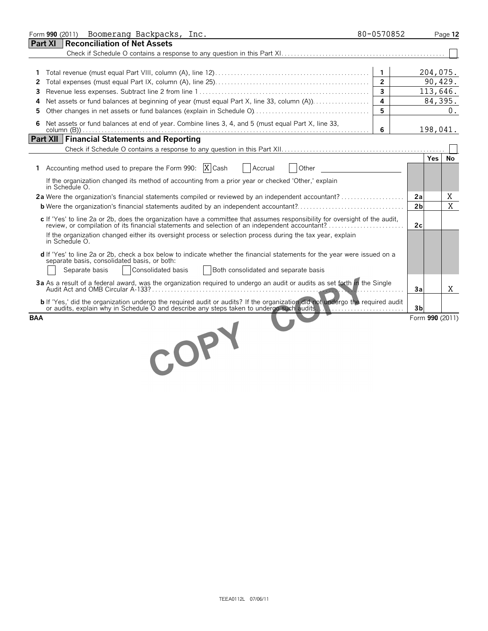| Boomerang Backpacks, Inc.<br>Form 990 (2011)                                                                                                                                                                                      | 80-0570852              | Page 12             |
|-----------------------------------------------------------------------------------------------------------------------------------------------------------------------------------------------------------------------------------|-------------------------|---------------------|
| <b>Reconciliation of Net Assets</b><br><b>Part XI</b>                                                                                                                                                                             |                         |                     |
|                                                                                                                                                                                                                                   |                         |                     |
|                                                                                                                                                                                                                                   |                         |                     |
| 1.                                                                                                                                                                                                                                | 1                       | 204,075.            |
| 2                                                                                                                                                                                                                                 | $\overline{2}$          | 90,429.             |
| 3                                                                                                                                                                                                                                 | $\overline{\mathbf{3}}$ | 113,646.            |
| Net assets or fund balances at beginning of year (must equal Part X, line 33, column (A))<br>4                                                                                                                                    | 4                       | 84,395.             |
| 5                                                                                                                                                                                                                                 | 5                       | 0.                  |
| Net assets or fund balances at end of year. Combine lines 3, 4, and 5 (must equal Part X, line 33,<br>6                                                                                                                           | 6                       | 198,041.            |
| Part XII   Financial Statements and Reporting                                                                                                                                                                                     |                         |                     |
|                                                                                                                                                                                                                                   |                         |                     |
|                                                                                                                                                                                                                                   |                         | Yes I<br>No         |
| 1 Accounting method used to prepare the Form 990: $X$ Cash<br>Accrual<br>Other                                                                                                                                                    |                         |                     |
| If the organization changed its method of accounting from a prior year or checked 'Other,' explain<br>in Schedule O.                                                                                                              |                         |                     |
|                                                                                                                                                                                                                                   |                         | Χ<br>2a             |
|                                                                                                                                                                                                                                   |                         | X<br>2 <sub>b</sub> |
| c If 'Yes' to line 2a or 2b, does the organization have a committee that assumes responsibility for oversight of the audit,<br>review, or compilation of its financial statements and selection of an independent accountant?     |                         | 2c                  |
| If the organization changed either its oversight process or selection process during the tax year, explain<br>in Schedule O.                                                                                                      |                         |                     |
| d If 'Yes' to line 2a or 2b, check a box below to indicate whether the financial statements for the year were issued on a<br>separate basis, consolidated basis, or both:                                                         |                         |                     |
| Separate basis<br>Consolidated basis<br>Both consolidated and separate basis                                                                                                                                                      |                         |                     |
| 3a As a result of a federal award, was the organization required to undergo an audit or audits as set forth in the Single                                                                                                         |                         | Χ<br>3a             |
| <b>b</b> If 'Yes,' did the organization undergo the required audit or audits? If the organization did not undergo the required audit<br>or audits, explain why in Schedule O and describe any steps taken to undergo such audits. |                         | 3 <sub>b</sub>      |
| <b>BAA</b>                                                                                                                                                                                                                        |                         | Form 990 (2011)     |
| COPY                                                                                                                                                                                                                              |                         |                     |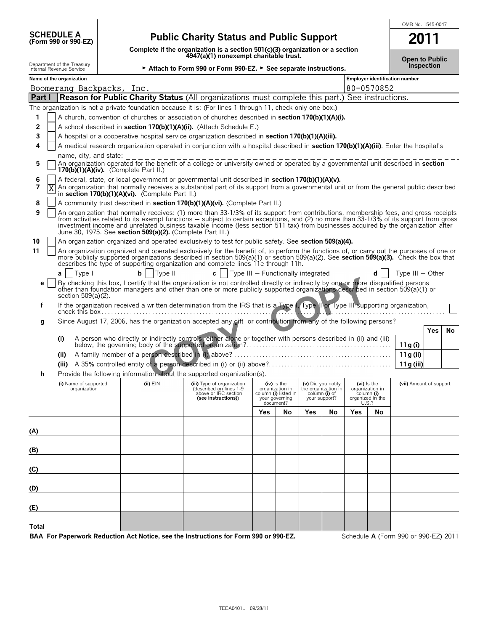| <b>SCHEDULE A</b> |                            |  |
|-------------------|----------------------------|--|
|                   | <b>(Form 990 or 990-F7</b> |  |

**170(b)(1)(A)(iv).** (Complete Part II.)

## **Public Charity Status and Public Support**

**Complete if the organization is a section 501(c)(3) organization or a section 4947(a)(1) nonexempt charitable trust.**

| OMB No. 1545-0047 |
|-------------------|
| 201               |

|                                                        |                          | 4947(a)(1) nonexempt charitable trust.                                                                                                                                     |                                       | Open to Public |
|--------------------------------------------------------|--------------------------|----------------------------------------------------------------------------------------------------------------------------------------------------------------------------|---------------------------------------|----------------|
| Department of the Treasury<br>Internal Revenue Service |                          | ► Attach to Form 990 or Form 990-EZ. ► See separate instructions.                                                                                                          | Inspection                            |                |
|                                                        | Name of the organization |                                                                                                                                                                            | <b>Employer identification number</b> |                |
|                                                        |                          | Boomerang Backpacks, Inc.                                                                                                                                                  | 80-0570852                            |                |
|                                                        |                          | <b>Part I</b> Reason for Public Charity Status (All organizations must complete this part.) See instructions.                                                              |                                       |                |
|                                                        |                          | The organization is not a private foundation because it is: (For lines 1 through 11, check only one box.)                                                                  |                                       |                |
|                                                        |                          | A church, convention of churches or association of churches described in section 170(b)(1)(A)(i).                                                                          |                                       |                |
| 2                                                      |                          | A school described in section 170(b)(1)(A)(ii). (Attach Schedule E.)                                                                                                       |                                       |                |
| 3                                                      |                          | A hospital or a cooperative hospital service organization described in section 170(b)(1)(A)(iii).                                                                          |                                       |                |
| 4                                                      |                          | A medical research organization operated in conjunction with a hospital described in section 170(b)(1)(A)(iii). Enter the hospital's                                       |                                       |                |
| 5                                                      | name, city, and state:   | An organization operated for the benefit of a college or university owned or operated by a governmental unit described in section<br>170(b)(1)(A)(iv). (Complete Part II.) |                                       |                |

|  | 6 A federal, state, or local government or governmental unit described in section 170(b)(1)(A)(v). |  |
|--|----------------------------------------------------------------------------------------------------|--|
|  |                                                                                                    |  |

|  | $\sqrt{X}$ An organization that normally receives a substantial part of its support from a governmental unit or from the general public described<br>in section 170(b)(1)(A)(vi). (Complete Part II.) |
|--|-------------------------------------------------------------------------------------------------------------------------------------------------------------------------------------------------------|
|  |                                                                                                                                                                                                       |

|  |  |  | 8 $\Box$ A community trust described in section 170(b)(1)(A)(vi). (Complete Part II.) |  |
|--|--|--|---------------------------------------------------------------------------------------|--|
|  |  |  |                                                                                       |  |

|  | An organization that normally receives: (1) more than 33-1/3% of its support from contributions, membership fees, and gross receipts    |
|--|-----------------------------------------------------------------------------------------------------------------------------------------|
|  | from activities related to its exempt functions – subject to certain exceptions, and (2) no more than 33-1/3% of its support from gross |
|  | investment income and unrelated business taxable income (less section 511 tax) from businesses acquired by the organization after       |
|  | June 30, 1975. See section 509(a)(2). (Complete Part III.)                                                                              |

**10** An organization organized and operated exclusively to test for public safety. See **section 509(a)(4).** 

11 | An organization organized and operated exclusively for the benefit of, to perform the functions of, or carry out the purposes of one or more publicly supported organizations described in section 509(a)(1) or section 509(a)(2). See **section 509(a)(3).** Check the box that<br>describes the type of supporting organization and complete lines 11e through 11h. **a** Type I **b** Type II **c** Type III ' Functionally integrated **d** Type III ' Other

| $d \mid \text{Type I}$ | $\mathbf{D}$   lype II | $C_1$ rype in $C_2$ runctionally integrated                                                                                                                                                                                   | $1$ ype $11 -$ Other |
|------------------------|------------------------|-------------------------------------------------------------------------------------------------------------------------------------------------------------------------------------------------------------------------------|----------------------|
|                        |                        |                                                                                                                                                                                                                               |                      |
|                        |                        | e By checking this box, I certify that the organization is not controlled directly or indirectly by one or more disqualified persons other than foundation managers and other than one or more publicly supported organizatio |                      |
| section $509(a)(2)$ .  |                        |                                                                                                                                                                                                                               |                      |

| If the organization received a written determination from the IRS that is a Type I, Type II or Type III supporting organization, |
|----------------------------------------------------------------------------------------------------------------------------------|
| check this box                                                                                                                   |

**g** Since August 17, 2006, has the organization accepted any gift or contribution from any of the following persons?

|  |                   | Yes |  |
|--|-------------------|-----|--|
|  |                   |     |  |
|  | 11a(i)            |     |  |
|  | 11 ค (ii)         |     |  |
|  | 11 $\alpha$ (iii) |     |  |

|  |  |  | Provide the following information about the supported organization(s). |  |
|--|--|--|------------------------------------------------------------------------|--|
|  |  |  |                                                                        |  |

| (i) Name of supported<br>organization | $(ii)$ $EIN$ | 11 L.<br>- -<br>(iii) Type of organization<br>(described on lines 1-9<br>above or IRC section<br>(see instructions)) | $\sqrt{2}$<br>(iv) Is the<br>organization in<br>column (i) listed in<br>your governing<br>document? |    | (v) Did you notify<br>the organization in<br>column (i) of<br>your support? |    | (vi) Is the<br>organization in<br>column (i)<br>organized in the<br>$\frac{0.5}{0.5}$ . |    | (vii) Amount of support |
|---------------------------------------|--------------|----------------------------------------------------------------------------------------------------------------------|-----------------------------------------------------------------------------------------------------|----|-----------------------------------------------------------------------------|----|-----------------------------------------------------------------------------------------|----|-------------------------|
|                                       |              |                                                                                                                      | <b>Yes</b>                                                                                          | No | <b>Yes</b>                                                                  | No | <b>Yes</b>                                                                              | No |                         |
| (A)                                   |              |                                                                                                                      |                                                                                                     |    |                                                                             |    |                                                                                         |    |                         |
| (B)                                   |              |                                                                                                                      |                                                                                                     |    |                                                                             |    |                                                                                         |    |                         |
| (C)                                   |              |                                                                                                                      |                                                                                                     |    |                                                                             |    |                                                                                         |    |                         |
| (D)                                   |              |                                                                                                                      |                                                                                                     |    |                                                                             |    |                                                                                         |    |                         |
| (E)                                   |              |                                                                                                                      |                                                                                                     |    |                                                                             |    |                                                                                         |    |                         |
| Total                                 |              |                                                                                                                      |                                                                                                     |    |                                                                             |    |                                                                                         |    |                         |

**BAA For Paperwork Reduction Act Notice, see the Instructions for Form 990 or 990-EZ.** Schedule **A** (Form 990 or 990-EZ) 2011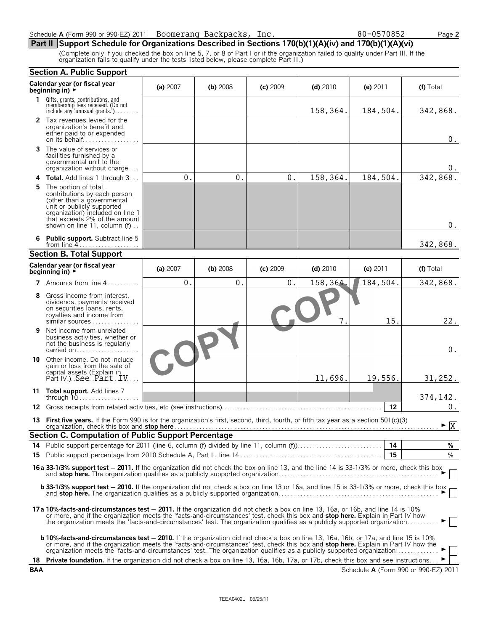| Schedule A (Form 990 or 990-EZ) 2011 | Boomerang Backpacks, | lnc. | 80-0570852<br>$\overline{\phantom{a}}$ age $\overline{\phantom{a}}$ |
|--------------------------------------|----------------------|------|---------------------------------------------------------------------|
|--------------------------------------|----------------------|------|---------------------------------------------------------------------|

### **Part II Support Schedule for Organizations Described in Sections 170(b)(1)(A)(iv) and 170(b)(1)(A)(vi)**

(Complete only if you checked the box on line 5, 7, or 8 of Part I or if the organization failed to qualify under Part III. If the organization fails to qualify under the tests listed below, please complete Part III.)

|           | <b>Section A. Public Support</b>                                                                                                                                                                                                                                                                                                                                                                                   |                |          |            |            |            |                                      |
|-----------|--------------------------------------------------------------------------------------------------------------------------------------------------------------------------------------------------------------------------------------------------------------------------------------------------------------------------------------------------------------------------------------------------------------------|----------------|----------|------------|------------|------------|--------------------------------------|
|           | Calendar year (or fiscal year<br>beginning in) $\rightarrow$                                                                                                                                                                                                                                                                                                                                                       | (a) 2007       | (b) 2008 | $(c)$ 2009 | $(d)$ 2010 | (e) $2011$ | (f) Total                            |
| 1         | Gifts, grants, contributions, and<br>membership fees received. (Do not<br>include any 'unusual grants.').                                                                                                                                                                                                                                                                                                          |                |          |            | 158,364.   | 184,504.   | 342,868.                             |
|           | 2 Tax revenues levied for the<br>organization's benefit and<br>either paid to or expended<br>on its behalf                                                                                                                                                                                                                                                                                                         |                |          |            |            |            | $0$ .                                |
| 3         | The value of services or<br>facilities furnished by a<br>governmental unit to the<br>organization without charge                                                                                                                                                                                                                                                                                                   |                |          |            |            |            | 0.                                   |
| 4         | <b>Total.</b> Add lines 1 through 3                                                                                                                                                                                                                                                                                                                                                                                | $\mathbf{0}$ . | 0.       | 0.         | 158,364.   | 184,504.   | 342,868.                             |
| 5.        | The portion of total<br>contributions by each person<br>(other than a governmental<br>unit or publicly supported<br>organization) included on line 1<br>that exceeds 2% of the amount<br>shown on line 11, column (f)                                                                                                                                                                                              |                |          |            |            |            | $0$ .                                |
| 6         | <b>Public support.</b> Subtract line 5<br>from line $4$                                                                                                                                                                                                                                                                                                                                                            |                |          |            |            |            | 342,868.                             |
|           | <b>Section B. Total Support</b>                                                                                                                                                                                                                                                                                                                                                                                    |                |          |            |            |            |                                      |
|           | Calendar year (or fiscal year<br>beginning in) $\rightarrow$                                                                                                                                                                                                                                                                                                                                                       | (a) 2007       | (b) 2008 | (c) 2009   | $(d)$ 2010 | (e) 2011   | (f) Total                            |
|           | 7 Amounts from line 4                                                                                                                                                                                                                                                                                                                                                                                              | 0.             | 0.       | 0.         | 158,364.   | 184,504.   | 342,868.                             |
| 8         | Gross income from interest,<br>dividends, payments received<br>on securities loans, rents,<br>royalties and income from<br>$similar$ sources                                                                                                                                                                                                                                                                       |                |          |            | 7.         | 15.        | 22.                                  |
| 9         | Net income from unrelated<br>business activities, whether or<br>not the business is regularly<br>carried on                                                                                                                                                                                                                                                                                                        |                |          |            |            |            | $0$ .                                |
| 10        | Other income. Do not include<br>gain or loss from the sale of<br>capital assets (Explain in<br>Part IV.) See Part IV.                                                                                                                                                                                                                                                                                              |                |          |            | 11,696.    | 19,556.    | 31,252.                              |
|           | 11 Total support. Add lines 7<br>through $10$                                                                                                                                                                                                                                                                                                                                                                      |                |          |            |            |            | 374,142.                             |
| 12        |                                                                                                                                                                                                                                                                                                                                                                                                                    |                |          |            |            | 12         | 0.                                   |
|           | 13 First five years. If the Form 990 is for the organization's first, second, third, fourth, or fifth tax year as a section 501(c)(3)                                                                                                                                                                                                                                                                              |                |          |            |            |            | $\blacktriangleright$ $\overline{X}$ |
|           | Section C. Computation of Public Support Percentage                                                                                                                                                                                                                                                                                                                                                                |                |          |            |            |            |                                      |
| 14        |                                                                                                                                                                                                                                                                                                                                                                                                                    |                |          |            |            | 14<br>- 15 | %<br>%                               |
| 15        |                                                                                                                                                                                                                                                                                                                                                                                                                    |                |          |            |            |            |                                      |
|           | 16a 33-1/3% support test - 2011. If the organization did not check the box on line 13, and the line 14 is 33-1/3% or more, check this box                                                                                                                                                                                                                                                                          |                |          |            |            |            |                                      |
|           | <b>b 33-1/3% support test - 2010.</b> If the organization did not check a box on line 13 or 16a, and line 15 is 33-1/3% or more, check this box                                                                                                                                                                                                                                                                    |                |          |            |            |            |                                      |
|           | <b>17a 10%-facts-and-circumstances test – 2011.</b> If the organization did not check a box on line 13, 16a, or 16b, and line 14 is 10%<br>or more, and if the organization meets the 'facts-and-circumstances' test, check this box and <b>stop here.</b> Explain in Part IV how<br>the organization meets the 'facts-and-circumstances' test. The organization qualifies as a publicly supported organization    |                |          |            |            |            | ►∣∣                                  |
|           | <b>b 10%-facts-and-circumstances test – 2010.</b> If the organization did not check a box on line 13, 16a, 16b, or 17a, and line 15 is 10%<br>or more, and if the organization meets the 'facts-and-circumstances' test, check this box and <b>stop here.</b> Explain in Part IV how the<br>organization meets the 'facts-and-circumstances' test. The organization qualifies as a publicly supported organization |                |          |            |            |            |                                      |
| 18<br>BAA | Private foundation. If the organization did not check a box on line 13, 16a, 16b, 17a, or 17b, check this box and see instructions                                                                                                                                                                                                                                                                                 |                |          |            |            |            | Schedule A (Form 990 or 990-EZ) 2011 |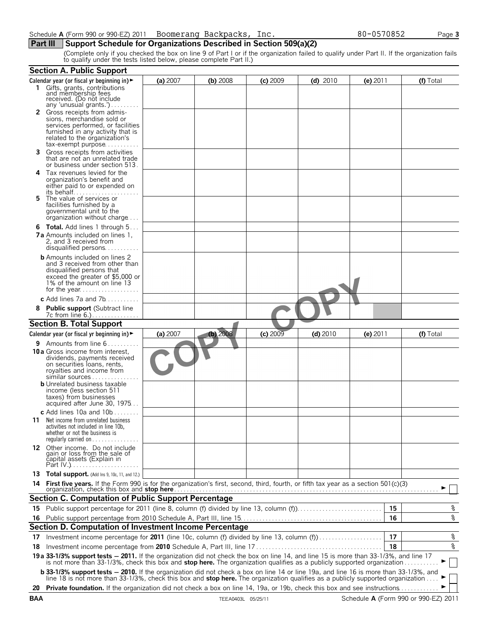**Part III** Support Schedule for Organizations Described in Section 509(a)(2)

(Complete only if you checked the box on line 9 of Part I or if the organization failed to qualify under Part II. If the organization fails to qualify under the tests listed below, please complete Part II.)

|    | <b>Section A. Public Support</b>                                                                                                                                                                                                                                 |          |            |            |            |            |    |           |
|----|------------------------------------------------------------------------------------------------------------------------------------------------------------------------------------------------------------------------------------------------------------------|----------|------------|------------|------------|------------|----|-----------|
|    | Calendar year (or fiscal yr beginning in) $\blacktriangleright$                                                                                                                                                                                                  | (a) 2007 | (b) 2008   | $(c)$ 2009 | $(d)$ 2010 | $(e)$ 2011 |    | (f) Total |
|    | 1 Gifts, grants, contributions<br>and membership fees<br>received. (Do not include                                                                                                                                                                               |          |            |            |            |            |    |           |
|    | any 'unusual grants.')<br>2 Gross receipts from admis-                                                                                                                                                                                                           |          |            |            |            |            |    |           |
|    | sions, merchandise sold or                                                                                                                                                                                                                                       |          |            |            |            |            |    |           |
|    | services performed, or facilities                                                                                                                                                                                                                                |          |            |            |            |            |    |           |
|    | furnished in any activity that is<br>related to the organization's                                                                                                                                                                                               |          |            |            |            |            |    |           |
|    | $tax\text{-}exempt$ purpose                                                                                                                                                                                                                                      |          |            |            |            |            |    |           |
| 3. | Gross receipts from activities                                                                                                                                                                                                                                   |          |            |            |            |            |    |           |
|    | that are not an unrelated trade<br>or business under section 513.                                                                                                                                                                                                |          |            |            |            |            |    |           |
| 4  | Tax revenues levied for the                                                                                                                                                                                                                                      |          |            |            |            |            |    |           |
|    | organization's benefit and                                                                                                                                                                                                                                       |          |            |            |            |            |    |           |
|    | either paid to or expended on                                                                                                                                                                                                                                    |          |            |            |            |            |    |           |
| 5. | The value of services or                                                                                                                                                                                                                                         |          |            |            |            |            |    |           |
|    | facilities furnished by a                                                                                                                                                                                                                                        |          |            |            |            |            |    |           |
|    | governmental unit to the<br>organization without charge                                                                                                                                                                                                          |          |            |            |            |            |    |           |
|    |                                                                                                                                                                                                                                                                  |          |            |            |            |            |    |           |
|    | <b>6 Total.</b> Add lines 1 through 5<br><b>7a</b> Amounts included on lines 1,                                                                                                                                                                                  |          |            |            |            |            |    |           |
|    | 2, and 3 received from                                                                                                                                                                                                                                           |          |            |            |            |            |    |           |
|    | disqualified persons                                                                                                                                                                                                                                             |          |            |            |            |            |    |           |
|    | <b>b</b> Amounts included on lines 2                                                                                                                                                                                                                             |          |            |            |            |            |    |           |
|    | and 3 received from other than<br>disqualified persons that                                                                                                                                                                                                      |          |            |            |            |            |    |           |
|    | exceed the greater of \$5,000 or                                                                                                                                                                                                                                 |          |            |            |            |            |    |           |
|    | 1% of the amount on line 13                                                                                                                                                                                                                                      |          |            |            |            |            |    |           |
|    |                                                                                                                                                                                                                                                                  |          |            |            |            |            |    |           |
|    | c Add lines $7a$ and $7b$                                                                                                                                                                                                                                        |          |            |            |            |            |    |           |
|    | <b>Public support (Subtract line</b>                                                                                                                                                                                                                             |          |            |            |            |            |    |           |
|    | <b>Section B. Total Support</b>                                                                                                                                                                                                                                  |          |            |            |            |            |    |           |
|    | Calendar year (or fiscal yr beginning in) $\blacktriangleright$                                                                                                                                                                                                  | (a) 2007 | $(b)$ 2008 | (c) 2009   | $(d)$ 2010 | (e) $2011$ |    | (f) Total |
|    | <b>9</b> Amounts from line $6 \ldots \ldots$                                                                                                                                                                                                                     |          |            |            |            |            |    |           |
|    | <b>10a</b> Gross income from interest,                                                                                                                                                                                                                           |          |            |            |            |            |    |           |
|    | dividends, payments received                                                                                                                                                                                                                                     |          |            |            |            |            |    |           |
|    | on securities loans, rents,<br>royalties and income from                                                                                                                                                                                                         |          |            |            |            |            |    |           |
|    | similar sources                                                                                                                                                                                                                                                  |          |            |            |            |            |    |           |
|    | <b>b</b> Unrelated business taxable                                                                                                                                                                                                                              |          |            |            |            |            |    |           |
|    | income (less section 511<br>taxes) from businesses                                                                                                                                                                                                               |          |            |            |            |            |    |           |
|    | acquired after June 30, 1975                                                                                                                                                                                                                                     |          |            |            |            |            |    |           |
|    | c Add lines 10a and $10b$                                                                                                                                                                                                                                        |          |            |            |            |            |    |           |
|    | <b>11</b> Net income from unrelated business                                                                                                                                                                                                                     |          |            |            |            |            |    |           |
|    | activities not included in line 10b,                                                                                                                                                                                                                             |          |            |            |            |            |    |           |
|    | whether or not the business is<br>regularly carried on                                                                                                                                                                                                           |          |            |            |            |            |    |           |
|    |                                                                                                                                                                                                                                                                  |          |            |            |            |            |    |           |
|    | 12 Other income. Do not include<br>gain or loss from the sale of<br>capital assets (Explain in                                                                                                                                                                   |          |            |            |            |            |    |           |
|    |                                                                                                                                                                                                                                                                  |          |            |            |            |            |    |           |
|    | 13 Total support. (Add Ins 9, 10c, 11, and 12.)                                                                                                                                                                                                                  |          |            |            |            |            |    |           |
|    |                                                                                                                                                                                                                                                                  |          |            |            |            |            |    |           |
|    |                                                                                                                                                                                                                                                                  |          |            |            |            |            |    |           |
|    | <b>Section C. Computation of Public Support Percentage</b>                                                                                                                                                                                                       |          |            |            |            |            |    |           |
|    | 15 Public support percentage for 2011 (line 8, column (f) divided by line 13, column (f)                                                                                                                                                                         |          |            |            |            |            | 15 | %         |
|    |                                                                                                                                                                                                                                                                  |          |            |            |            |            | 16 | %         |
|    | Section D. Computation of Investment Income Percentage                                                                                                                                                                                                           |          |            |            |            |            |    |           |
| 17 | Investment income percentage for 2011 (line 10c, column (f) divided by line 13, column (f)                                                                                                                                                                       |          |            |            |            |            | 17 | $\,$ $\,$ |
| 18 |                                                                                                                                                                                                                                                                  |          |            |            |            |            | 18 | %         |
|    | 19a 33-1/3% support tests - 2011. If the organization did not check the box on line 14, and line 15 is more than 33-1/3%, and line 17<br>is not more than 33-1/3%, check this box and stop here. The organization qualifies as a publicly supported organization |          |            |            |            |            |    |           |
|    | <b>b 33-1/3% support tests - 2010.</b> If the organization did not check a box on line 14 or line 19a, and line 16 is more than 33-1/3%, and line 18 is not more than 33-1/3%, check this box and <b>stop here.</b> The organization qua                         |          |            |            |            |            |    |           |
|    |                                                                                                                                                                                                                                                                  |          |            |            |            |            |    |           |
|    |                                                                                                                                                                                                                                                                  |          |            |            |            |            |    |           |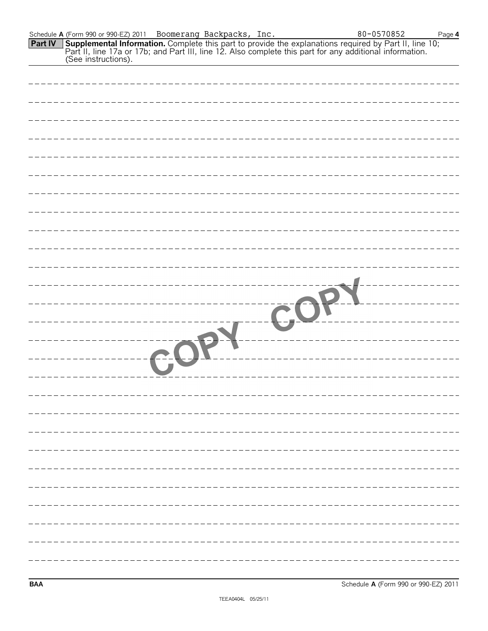| <b>Part IV</b> | Supplemental Information. Complete this part to provide the explanations required by Part II, line 10;<br>Part II, line 17a or 17b; and Part III, line 12. Also complete this part for any additional information.<br>(See instructi |
|----------------|--------------------------------------------------------------------------------------------------------------------------------------------------------------------------------------------------------------------------------------|
|                |                                                                                                                                                                                                                                      |
|                |                                                                                                                                                                                                                                      |
|                |                                                                                                                                                                                                                                      |
|                |                                                                                                                                                                                                                                      |
|                |                                                                                                                                                                                                                                      |
|                |                                                                                                                                                                                                                                      |
|                |                                                                                                                                                                                                                                      |
|                |                                                                                                                                                                                                                                      |
|                |                                                                                                                                                                                                                                      |
|                |                                                                                                                                                                                                                                      |
|                |                                                                                                                                                                                                                                      |
|                |                                                                                                                                                                                                                                      |
|                |                                                                                                                                                                                                                                      |
|                |                                                                                                                                                                                                                                      |
|                |                                                                                                                                                                                                                                      |
|                |                                                                                                                                                                                                                                      |
|                |                                                                                                                                                                                                                                      |
|                |                                                                                                                                                                                                                                      |
|                |                                                                                                                                                                                                                                      |
|                |                                                                                                                                                                                                                                      |
|                |                                                                                                                                                                                                                                      |
|                |                                                                                                                                                                                                                                      |
|                |                                                                                                                                                                                                                                      |

Schedule **A** (Form 990 or 990-EZ) 2011 Page **4**

Boomerang Backpacks, Inc. 80-0570852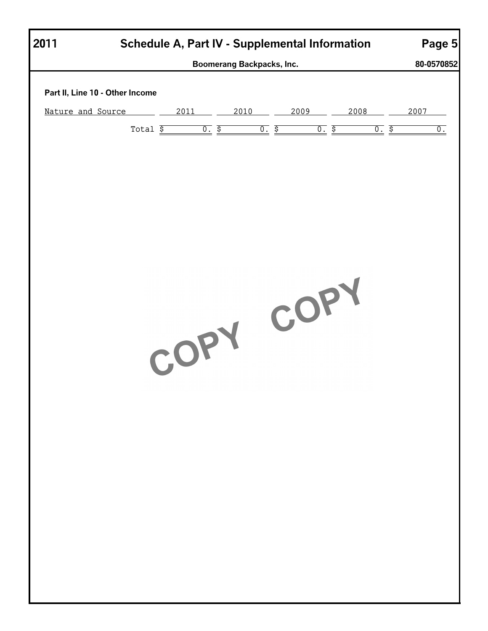| Schedule A, Part IV - Supplemental Information<br>2011 |           |      |                     |              |      |  |  |
|--------------------------------------------------------|-----------|------|---------------------|--------------|------|--|--|
| Boomerang Backpacks, Inc.                              |           |      |                     |              |      |  |  |
| Part II, Line 10 - Other Income                        |           |      |                     |              |      |  |  |
| Nature and Source                                      | 2011      | 2010 | 2009                | 2008         | 2007 |  |  |
| Total $\overline{\$}$                                  |           | 0.5  | 0.5<br><u>0. \$</u> | <u>০. \$</u> | 0.   |  |  |
|                                                        |           |      |                     |              |      |  |  |
|                                                        |           |      |                     |              |      |  |  |
|                                                        |           |      |                     |              |      |  |  |
|                                                        |           |      |                     |              |      |  |  |
|                                                        |           |      |                     |              |      |  |  |
|                                                        |           |      |                     |              |      |  |  |
|                                                        |           |      |                     |              |      |  |  |
|                                                        |           |      |                     |              |      |  |  |
|                                                        |           |      |                     |              |      |  |  |
|                                                        | COPY COPY |      |                     |              |      |  |  |
|                                                        |           |      |                     |              |      |  |  |
|                                                        |           |      |                     |              |      |  |  |
|                                                        |           |      |                     |              |      |  |  |
|                                                        |           |      |                     |              |      |  |  |
|                                                        |           |      |                     |              |      |  |  |
|                                                        |           |      |                     |              |      |  |  |
|                                                        |           |      |                     |              |      |  |  |
|                                                        |           |      |                     |              |      |  |  |
|                                                        |           |      |                     |              |      |  |  |
|                                                        |           |      |                     |              |      |  |  |
|                                                        |           |      |                     |              |      |  |  |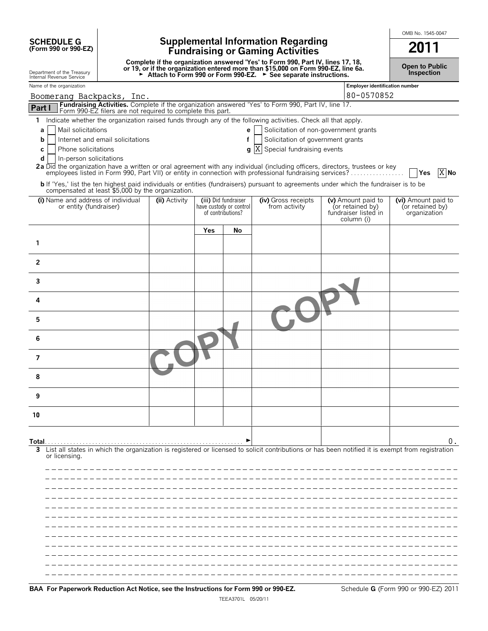**SCHEDULE G**<br>(Form 990 or 990-EZ)

## **(Form 990 or 990-EZ) Supplemental Information Regarding Fundraising or Gaming Activities 2011**

**Complete if the organization answered 'Yes' to Form 990, Part IV, lines 17, 18,** or 19, or if the organization entered more than \$15,000 on Form 990-EZ, line 6a.<br>► Attach to Form 990 or Form 990-EZ. ► See separate instructions.

**Open to Public Inspection**

OMB No. 1545-0047

| Department of the Treasury<br>Internal Revenue Service                                                                                                                                                                                                                                                                                                                                                                                                                                     |               |     |                                                                      | Attach to Form 990 or Form 990-EZ. ► See separate instructions.                                               |                                                                              | <b>Inspection</b>                                       |
|--------------------------------------------------------------------------------------------------------------------------------------------------------------------------------------------------------------------------------------------------------------------------------------------------------------------------------------------------------------------------------------------------------------------------------------------------------------------------------------------|---------------|-----|----------------------------------------------------------------------|---------------------------------------------------------------------------------------------------------------|------------------------------------------------------------------------------|---------------------------------------------------------|
| Name of the organization                                                                                                                                                                                                                                                                                                                                                                                                                                                                   |               |     |                                                                      |                                                                                                               | <b>Employer identification number</b>                                        |                                                         |
| Boomerang Backpacks, Inc.                                                                                                                                                                                                                                                                                                                                                                                                                                                                  |               |     |                                                                      |                                                                                                               | 80-0570852                                                                   |                                                         |
| Fundraising Activities. Complete if the organization answered 'Yes' to Form 990, Part IV, line 17.<br>Part I<br>Form 990-EZ filers are not required to complete this part.                                                                                                                                                                                                                                                                                                                 |               |     |                                                                      |                                                                                                               |                                                                              |                                                         |
| 1 Indicate whether the organization raised funds through any of the following activities. Check all that apply.<br>Mail solicitations<br>а<br>Internet and email solicitations<br>b<br>Phone solicitations<br>С<br>d<br>In-person solicitations<br>2a Did the organization have a written or oral agreement with any individual (including officers, directors, trustees or key<br>employees listed in Form 990, Part VII) or entity in connection with professional fundraising services? |               |     | e<br>f<br>q                                                          | Solicitation of non-government grants<br>Solicitation of government grants<br>X<br>Special fundraising events |                                                                              | $X$ No<br><b>Yes</b>                                    |
| <b>b</b> If 'Yes,' list the ten highest paid individuals or entities (fundraisers) pursuant to agreements under which the fundraiser is to be<br>compensated at least \$5,000 by the organization.                                                                                                                                                                                                                                                                                         |               |     |                                                                      |                                                                                                               |                                                                              |                                                         |
| (i) Name and address of individual<br>or entity (fundraiser)                                                                                                                                                                                                                                                                                                                                                                                                                               | (ii) Activity |     | (iii) Did fundraiser<br>have custody or control<br>of contributions? | (iv) Gross receipts<br>from activity                                                                          | (v) Amount paid to<br>(or retained by)<br>fundraiser listed in<br>column (i) | (vi) Amount paid to<br>(or retained by)<br>organization |
|                                                                                                                                                                                                                                                                                                                                                                                                                                                                                            |               | Yes | No                                                                   |                                                                                                               |                                                                              |                                                         |
| 1                                                                                                                                                                                                                                                                                                                                                                                                                                                                                          |               |     |                                                                      |                                                                                                               |                                                                              |                                                         |
| $\overline{2}$                                                                                                                                                                                                                                                                                                                                                                                                                                                                             |               |     |                                                                      |                                                                                                               |                                                                              |                                                         |
| 3                                                                                                                                                                                                                                                                                                                                                                                                                                                                                          |               |     |                                                                      |                                                                                                               |                                                                              |                                                         |
| 4                                                                                                                                                                                                                                                                                                                                                                                                                                                                                          |               |     |                                                                      |                                                                                                               |                                                                              |                                                         |
| 5                                                                                                                                                                                                                                                                                                                                                                                                                                                                                          |               |     |                                                                      |                                                                                                               |                                                                              |                                                         |
| 6                                                                                                                                                                                                                                                                                                                                                                                                                                                                                          |               |     |                                                                      |                                                                                                               |                                                                              |                                                         |
| $\overline{7}$                                                                                                                                                                                                                                                                                                                                                                                                                                                                             |               |     |                                                                      |                                                                                                               |                                                                              |                                                         |
| 8                                                                                                                                                                                                                                                                                                                                                                                                                                                                                          |               |     |                                                                      |                                                                                                               |                                                                              |                                                         |
| 9                                                                                                                                                                                                                                                                                                                                                                                                                                                                                          |               |     |                                                                      |                                                                                                               |                                                                              |                                                         |
| 10                                                                                                                                                                                                                                                                                                                                                                                                                                                                                         |               |     |                                                                      |                                                                                                               |                                                                              |                                                         |
| Total<br>List all states in which the organization is registered or licensed to solicit contributions or has been notified it is exempt from registration<br>3.                                                                                                                                                                                                                                                                                                                            |               |     |                                                                      |                                                                                                               |                                                                              | 0.                                                      |
| or licensing.                                                                                                                                                                                                                                                                                                                                                                                                                                                                              |               |     |                                                                      |                                                                                                               |                                                                              |                                                         |
|                                                                                                                                                                                                                                                                                                                                                                                                                                                                                            |               |     |                                                                      |                                                                                                               |                                                                              |                                                         |
|                                                                                                                                                                                                                                                                                                                                                                                                                                                                                            |               |     |                                                                      |                                                                                                               |                                                                              |                                                         |
|                                                                                                                                                                                                                                                                                                                                                                                                                                                                                            |               |     |                                                                      |                                                                                                               |                                                                              |                                                         |
|                                                                                                                                                                                                                                                                                                                                                                                                                                                                                            |               |     |                                                                      |                                                                                                               |                                                                              |                                                         |
|                                                                                                                                                                                                                                                                                                                                                                                                                                                                                            |               |     |                                                                      |                                                                                                               |                                                                              |                                                         |
|                                                                                                                                                                                                                                                                                                                                                                                                                                                                                            |               |     |                                                                      |                                                                                                               |                                                                              |                                                         |
|                                                                                                                                                                                                                                                                                                                                                                                                                                                                                            |               |     |                                                                      |                                                                                                               |                                                                              |                                                         |
|                                                                                                                                                                                                                                                                                                                                                                                                                                                                                            |               |     |                                                                      |                                                                                                               |                                                                              |                                                         |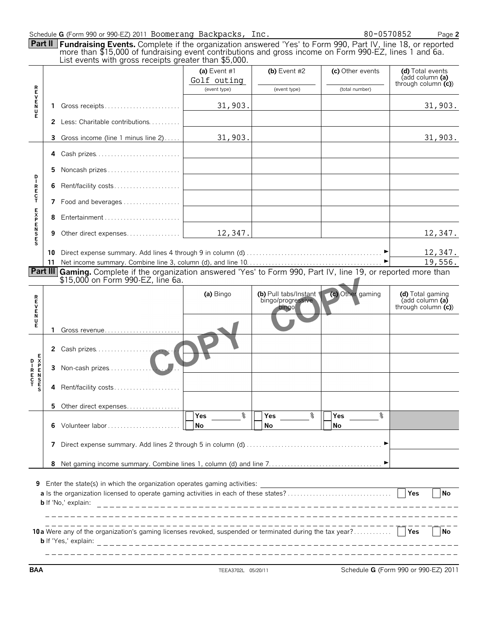|                 |    | Schedule G (Form 990 or 990-EZ) 2011 Boomerang Backpacks, Inc.                                                                                                                                                                                                                               |                                             |                                                     |                                    | 80-0570852<br>Page 2                                                                    |
|-----------------|----|----------------------------------------------------------------------------------------------------------------------------------------------------------------------------------------------------------------------------------------------------------------------------------------------|---------------------------------------------|-----------------------------------------------------|------------------------------------|-----------------------------------------------------------------------------------------|
|                 |    | <b>Part II</b> Fundraising Events. Complete if the organization answered 'Yes' to Form 990, Part IV, line 18, or reported<br>more than \$15,000 of fundraising event contributions and gross income on Form 990-EZ, lines 1 and 6a.<br>List events with gross receipts greater than \$5,000. |                                             |                                                     |                                    |                                                                                         |
|                 |    |                                                                                                                                                                                                                                                                                              | (a) Event #1<br>Golf outing<br>(event type) | (b) Event $#2$<br>(event type)                      | (c) Other events<br>(total number) | (d) Total events<br>(add column (a)<br>through column $(c)$                             |
| <b>REVENR</b>   |    | 1 Gross receipts                                                                                                                                                                                                                                                                             | 31,903.                                     |                                                     |                                    | 31,903.                                                                                 |
|                 |    | <b>2</b> Less: Charitable contributions                                                                                                                                                                                                                                                      |                                             |                                                     |                                    |                                                                                         |
|                 | 3. | Gross income (line 1 minus line 2)                                                                                                                                                                                                                                                           | 31,903.                                     |                                                     |                                    | 31,903.                                                                                 |
|                 |    | 4 Cash prizes                                                                                                                                                                                                                                                                                |                                             |                                                     |                                    |                                                                                         |
| D               | 5. | Noncash prizes                                                                                                                                                                                                                                                                               |                                             |                                                     |                                    |                                                                                         |
| IRECT           | 6  | Rent/facility costs                                                                                                                                                                                                                                                                          |                                             |                                                     |                                    |                                                                                         |
|                 |    | 7 Food and beverages                                                                                                                                                                                                                                                                         |                                             |                                                     |                                    |                                                                                         |
|                 | 8  | Entertainment                                                                                                                                                                                                                                                                                |                                             |                                                     |                                    |                                                                                         |
| EXPENSES        | 9  |                                                                                                                                                                                                                                                                                              | 12, 347.                                    |                                                     |                                    | 12,347.                                                                                 |
|                 |    |                                                                                                                                                                                                                                                                                              |                                             |                                                     |                                    | 12,347.                                                                                 |
|                 |    | Part III Gaming. Complete if the organization answered 'Yes' to Form 990, Part IV, line 19, or reported more than                                                                                                                                                                            |                                             |                                                     |                                    | 19,556.                                                                                 |
|                 |    | \$15,000 on Form 990-EZ, line 6a.                                                                                                                                                                                                                                                            |                                             |                                                     |                                    |                                                                                         |
| <b>REVENU</b>   |    |                                                                                                                                                                                                                                                                                              | (a) Bingo                                   | (b) Pull tabs/Instant<br>bingo/progressive<br>bingo | (c) Other gaming                   | (d) Total gaming<br>$\overline{a}$ (add column $\overline{a}$ )<br>through column $(c)$ |
| Ė               |    | 1 Gross revenue                                                                                                                                                                                                                                                                              |                                             |                                                     |                                    |                                                                                         |
|                 |    | 2 Cash prizes                                                                                                                                                                                                                                                                                |                                             |                                                     |                                    |                                                                                         |
| $R$ $R$ $C$ $T$ | 3  | $J\Gamma$                                                                                                                                                                                                                                                                                    |                                             |                                                     |                                    |                                                                                         |
|                 | 4  | Rent/facility costs                                                                                                                                                                                                                                                                          |                                             |                                                     |                                    |                                                                                         |
|                 |    | 5 Other direct expenses                                                                                                                                                                                                                                                                      | နွ<br>Yes                                   | Yes %                                               | ႜ                                  |                                                                                         |
|                 | 6  | Volunteer labor                                                                                                                                                                                                                                                                              | No                                          | No                                                  | Yes $\qquad \qquad \qquad$<br>No   |                                                                                         |
|                 |    |                                                                                                                                                                                                                                                                                              |                                             |                                                     |                                    |                                                                                         |
|                 |    |                                                                                                                                                                                                                                                                                              |                                             |                                                     |                                    |                                                                                         |
|                 |    | 9 Enter the state(s) in which the organization operates gaming activities:<br><b>b</b> If 'No,' explain:                                                                                                                                                                                     |                                             |                                                     |                                    | Yes<br><b>No</b>                                                                        |
|                 |    | _______________________________<br>10a Were any of the organization's gaming licenses revoked, suspended or terminated during the tax year?                                                                                                                                                  |                                             |                                                     |                                    | Yes<br>  No                                                                             |
| <b>BAA</b>      |    |                                                                                                                                                                                                                                                                                              | TFFA3702L 05/20/11                          |                                                     |                                    | Schedule G (Form 990 or 990-F7) 2011                                                    |

**BAA** TEEA3702L 05/20/11 Schedule **G** (Form 990 or 990-EZ) 2011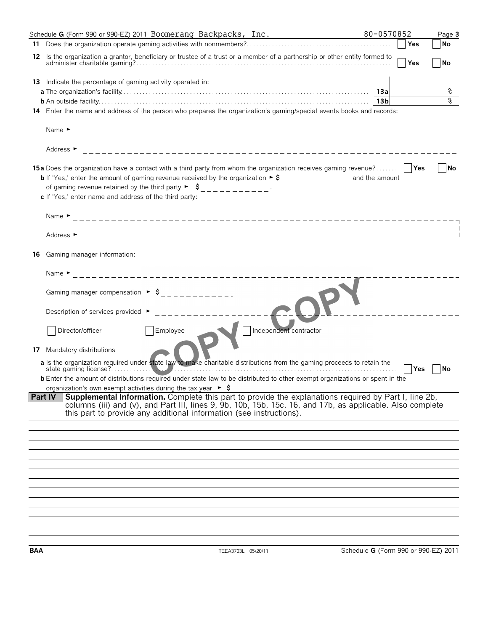|    | Schedule G (Form 990 or 990-EZ) 2011 Boomerang Backpacks, Inc.                                                                                                                                                                                                                                               | 80-0570852      |       | Page 3    |  |  |  |
|----|--------------------------------------------------------------------------------------------------------------------------------------------------------------------------------------------------------------------------------------------------------------------------------------------------------------|-----------------|-------|-----------|--|--|--|
|    |                                                                                                                                                                                                                                                                                                              |                 |       | No        |  |  |  |
|    | 12 Is the organization a grantor, beneficiary or trustee of a trust or a member of a partnership or other entity formed to                                                                                                                                                                                   |                 | l Yes | <b>No</b> |  |  |  |
|    | 13 Indicate the percentage of gaming activity operated in:                                                                                                                                                                                                                                                   |                 |       |           |  |  |  |
|    |                                                                                                                                                                                                                                                                                                              |                 |       | ႜ         |  |  |  |
|    |                                                                                                                                                                                                                                                                                                              | 13 <sub>b</sub> |       | ٥R        |  |  |  |
|    | 14 Enter the name and address of the person who prepares the organization's gaming/special events books and records:                                                                                                                                                                                         |                 |       |           |  |  |  |
|    |                                                                                                                                                                                                                                                                                                              |                 |       |           |  |  |  |
|    | Address $\blacktriangleright$                                                                                                                                                                                                                                                                                |                 |       |           |  |  |  |
|    | 15a Does the organization have a contact with a third party from whom the organization receives gaming revenue?                                                                                                                                                                                              |                 |       | No        |  |  |  |
|    | <b>b</b> If 'Yes,' enter the amount of gaming revenue received by the organization $\triangleright$ \$___________ and the amount                                                                                                                                                                             |                 |       |           |  |  |  |
|    | of gaming revenue retained by the third party $\triangleright$ $\zeta$ ___________.                                                                                                                                                                                                                          |                 |       |           |  |  |  |
|    | c If 'Yes,' enter name and address of the third party:                                                                                                                                                                                                                                                       |                 |       |           |  |  |  |
|    |                                                                                                                                                                                                                                                                                                              |                 |       |           |  |  |  |
|    | Address ►                                                                                                                                                                                                                                                                                                    |                 |       |           |  |  |  |
| 16 | Gaming manager information:                                                                                                                                                                                                                                                                                  |                 |       |           |  |  |  |
|    |                                                                                                                                                                                                                                                                                                              |                 |       |           |  |  |  |
|    | Gaming manager compensation $\triangleright$ $\uparrow$ $\downarrow$ _ _ _ _ _ _ _ _ _ _ _ _                                                                                                                                                                                                                 |                 |       |           |  |  |  |
|    | Description of services provided $\rightarrow$ ___________                                                                                                                                                                                                                                                   |                 |       |           |  |  |  |
|    | Employee<br>Independent contractor<br>Director/officer                                                                                                                                                                                                                                                       |                 |       |           |  |  |  |
|    | 17 Mandatory distributions<br>a Is the organization required under state law to make charitable distributions from the gaming proceeds to retain the                                                                                                                                                         |                 |       |           |  |  |  |
|    |                                                                                                                                                                                                                                                                                                              |                 | Yes   | <b>No</b> |  |  |  |
|    | <b>b</b> Enter the amount of distributions required under state law to be distributed to other exempt organizations or spent in the                                                                                                                                                                          |                 |       |           |  |  |  |
|    | organization's own exempt activities during the tax year $\triangleright$ \$                                                                                                                                                                                                                                 |                 |       |           |  |  |  |
|    | Supplemental Information. Complete this part to provide the explanations required by Part I, line 2b,<br><b>Part IV</b><br>columns (iii) and (v), and Part III, lines 9, 9b, 10b, 15b, 15c, 16, and 17b, as applicable. Also complete<br>this part to provide any additional information (see instructions). |                 |       |           |  |  |  |
|    |                                                                                                                                                                                                                                                                                                              |                 |       |           |  |  |  |
|    |                                                                                                                                                                                                                                                                                                              |                 |       |           |  |  |  |
|    |                                                                                                                                                                                                                                                                                                              |                 |       |           |  |  |  |
|    |                                                                                                                                                                                                                                                                                                              |                 |       |           |  |  |  |
|    |                                                                                                                                                                                                                                                                                                              |                 |       |           |  |  |  |
|    |                                                                                                                                                                                                                                                                                                              |                 |       |           |  |  |  |
|    |                                                                                                                                                                                                                                                                                                              |                 |       |           |  |  |  |
|    |                                                                                                                                                                                                                                                                                                              |                 |       |           |  |  |  |
|    |                                                                                                                                                                                                                                                                                                              |                 |       |           |  |  |  |
|    |                                                                                                                                                                                                                                                                                                              |                 |       |           |  |  |  |
|    |                                                                                                                                                                                                                                                                                                              |                 |       |           |  |  |  |
|    |                                                                                                                                                                                                                                                                                                              |                 |       |           |  |  |  |